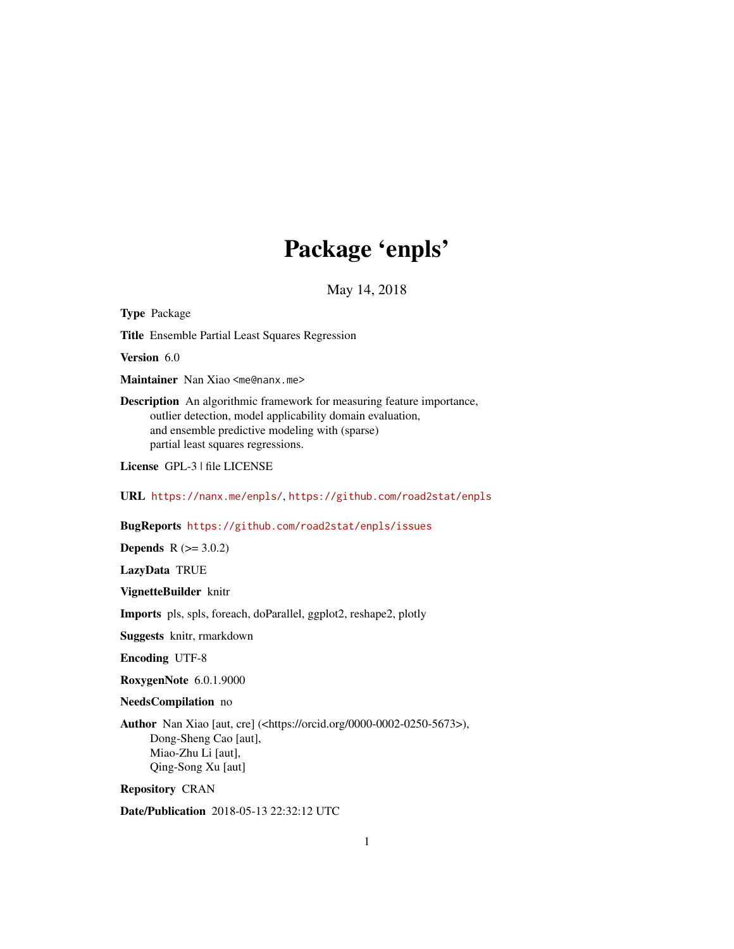# Package 'enpls'

May 14, 2018

<span id="page-0-0"></span>Type Package Title Ensemble Partial Least Squares Regression Version 6.0 Maintainer Nan Xiao <me@nanx.me> Description An algorithmic framework for measuring feature importance, outlier detection, model applicability domain evaluation, and ensemble predictive modeling with (sparse) partial least squares regressions. License GPL-3 | file LICENSE URL <https://nanx.me/enpls/>, <https://github.com/road2stat/enpls> BugReports <https://github.com/road2stat/enpls/issues> **Depends**  $R (= 3.0.2)$ LazyData TRUE VignetteBuilder knitr Imports pls, spls, foreach, doParallel, ggplot2, reshape2, plotly Suggests knitr, rmarkdown Encoding UTF-8 RoxygenNote 6.0.1.9000 NeedsCompilation no Author Nan Xiao [aut, cre] (<https://orcid.org/0000-0002-0250-5673>), Dong-Sheng Cao [aut], Miao-Zhu Li [aut],

Repository CRAN

Qing-Song Xu [aut]

Date/Publication 2018-05-13 22:32:12 UTC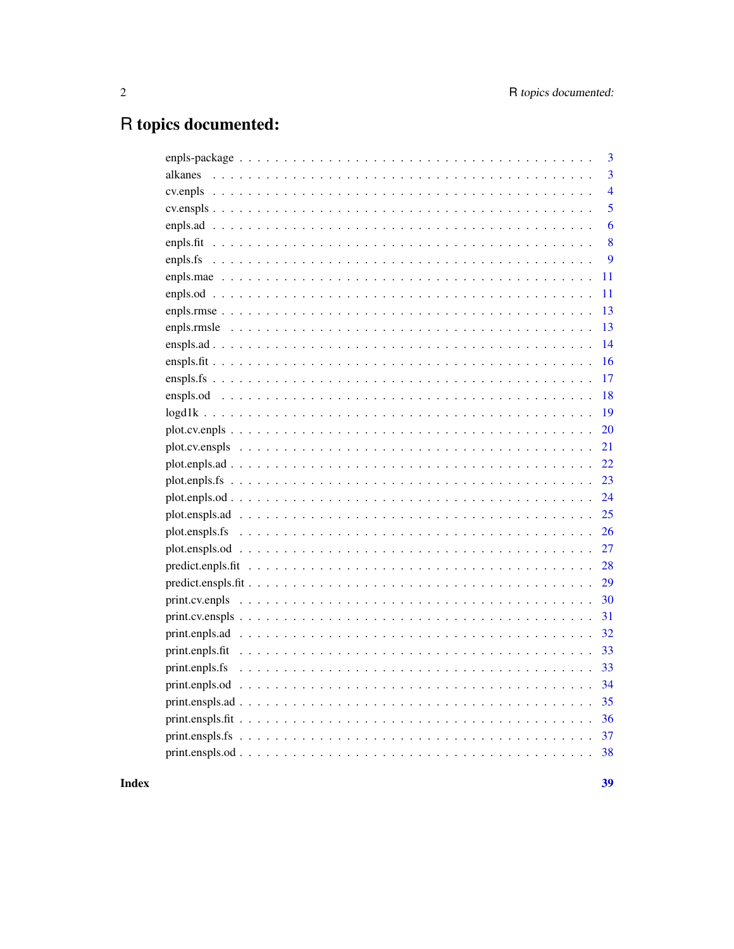# R topics documented:

|  | 3              |
|--|----------------|
|  | $\overline{3}$ |
|  | $\overline{4}$ |
|  | 5              |
|  | 6              |
|  | 8              |
|  | 9              |
|  | 11             |
|  | 11             |
|  | 13             |
|  | 13             |
|  | 14             |
|  | 16             |
|  | 17             |
|  | 18             |
|  | 19             |
|  | 20             |
|  | 21             |
|  | 22             |
|  | 23             |
|  | 24             |
|  | 25             |
|  | 26             |
|  | 27             |
|  | 28             |
|  | 29             |
|  | 30             |
|  | 31             |
|  | 32             |
|  | 33             |
|  | 33             |
|  | 34             |
|  | 35             |
|  | 36             |
|  | 37             |
|  | 38             |
|  |                |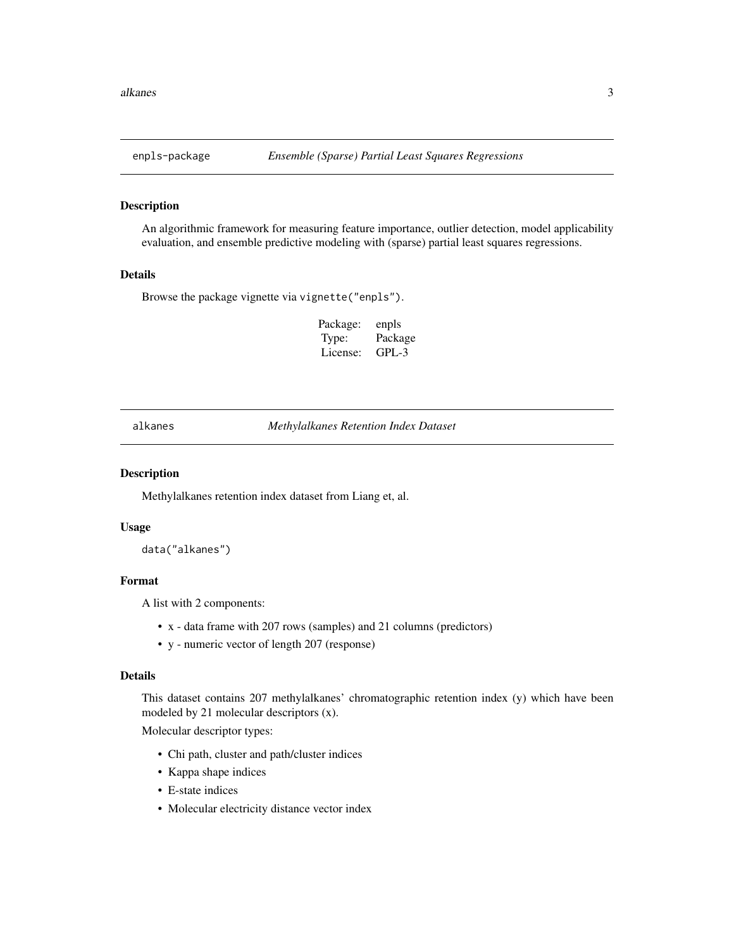<span id="page-2-0"></span>

#### Description

An algorithmic framework for measuring feature importance, outlier detection, model applicability evaluation, and ensemble predictive modeling with (sparse) partial least squares regressions.

#### Details

Browse the package vignette via vignette("enpls").

Package: enpls Type: Package License: GPL-3

alkanes *Methylalkanes Retention Index Dataset*

#### Description

Methylalkanes retention index dataset from Liang et, al.

#### Usage

data("alkanes")

#### Format

A list with 2 components:

- x data frame with 207 rows (samples) and 21 columns (predictors)
- y numeric vector of length 207 (response)

#### Details

This dataset contains 207 methylalkanes' chromatographic retention index (y) which have been modeled by 21 molecular descriptors (x).

Molecular descriptor types:

- Chi path, cluster and path/cluster indices
- Kappa shape indices
- E-state indices
- Molecular electricity distance vector index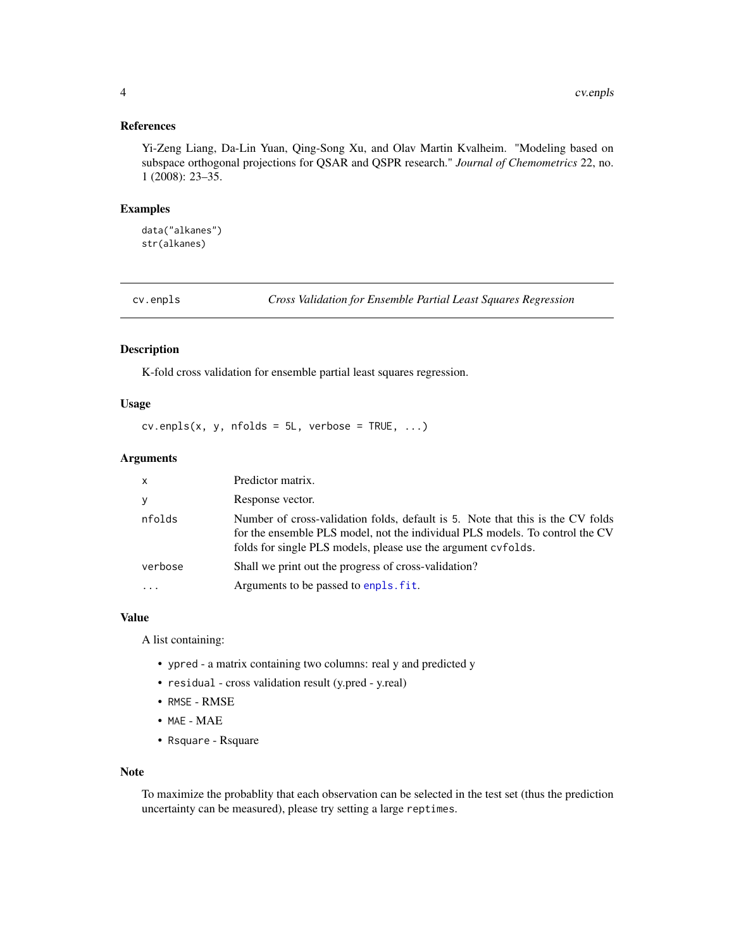#### <span id="page-3-0"></span>References

Yi-Zeng Liang, Da-Lin Yuan, Qing-Song Xu, and Olav Martin Kvalheim. "Modeling based on subspace orthogonal projections for QSAR and QSPR research." *Journal of Chemometrics* 22, no. 1 (2008): 23–35.

#### Examples

data("alkanes") str(alkanes)

<span id="page-3-1"></span>cv.enpls *Cross Validation for Ensemble Partial Least Squares Regression*

#### Description

K-fold cross validation for ensemble partial least squares regression.

#### Usage

 $cv.\nend{math}$   $(x, y, \nend{math}$   $n = 5L, \nend{math}$   $verbose = TRUE, ...$ 

#### Arguments

| $\mathsf{x}$ | Predictor matrix.                                                                                                                                                                                                               |
|--------------|---------------------------------------------------------------------------------------------------------------------------------------------------------------------------------------------------------------------------------|
| y            | Response vector.                                                                                                                                                                                                                |
| nfolds       | Number of cross-validation folds, default is 5. Note that this is the CV folds<br>for the ensemble PLS model, not the individual PLS models. To control the CV<br>folds for single PLS models, please use the argument cyfolds. |
| verbose      | Shall we print out the progress of cross-validation?                                                                                                                                                                            |
| .            | Arguments to be passed to enpls. fit.                                                                                                                                                                                           |

#### Value

A list containing:

- ypred a matrix containing two columns: real y and predicted y
- residual cross validation result (y.pred y.real)
- RMSE RMSE
- MAE MAE
- Rsquare Rsquare

#### Note

To maximize the probablity that each observation can be selected in the test set (thus the prediction uncertainty can be measured), please try setting a large reptimes.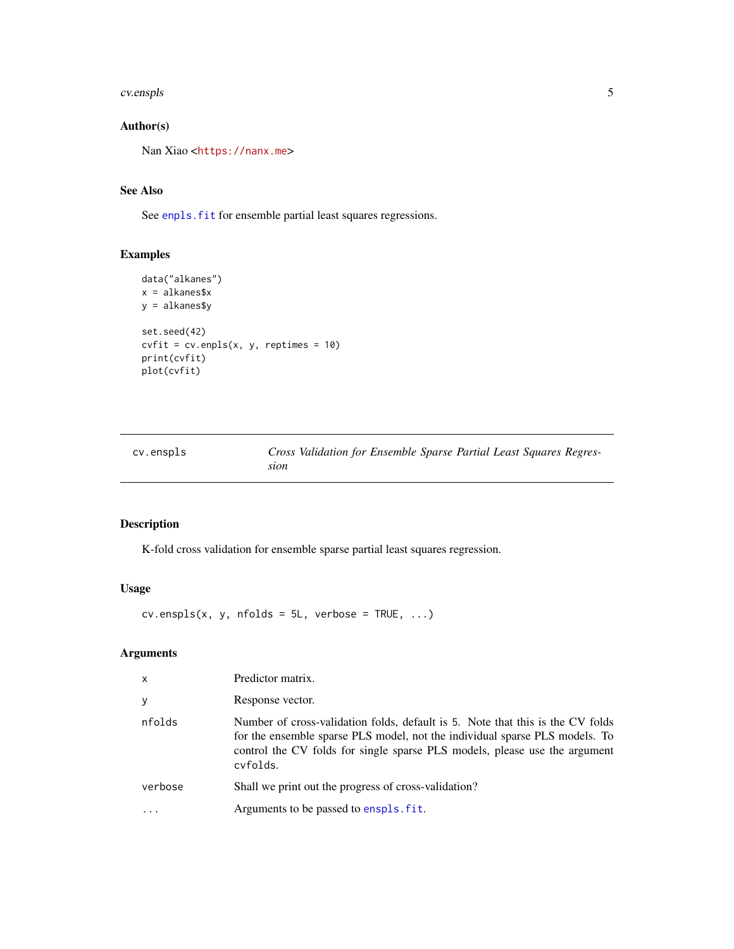#### <span id="page-4-0"></span>cv.enspls 5

# Author(s)

Nan Xiao <<https://nanx.me>>

#### See Also

See enpls. fit for ensemble partial least squares regressions.

# Examples

```
data("alkanes")
x = alkanes$x
y = alkanes$y
set.seed(42)
cvfit = cv.\text{enpls}(x, y, \text{reptimes} = 10)print(cvfit)
plot(cvfit)
```
<span id="page-4-1"></span>

| cv.enspls | Cross Validation for Ensemble Sparse Partial Least Squares Regres- |
|-----------|--------------------------------------------------------------------|
|           | sıon                                                               |

# Description

K-fold cross validation for ensemble sparse partial least squares regression.

# Usage

 $cv.\nexists(x, y, \nexists bds = 5L, \nexists csc = \text{TRUE}, \ldots)$ 

| $\mathsf{x}$ | Predictor matrix.                                                                                                                                                                                                                                       |
|--------------|---------------------------------------------------------------------------------------------------------------------------------------------------------------------------------------------------------------------------------------------------------|
| y            | Response vector.                                                                                                                                                                                                                                        |
| nfolds       | Number of cross-validation folds, default is 5. Note that this is the CV folds<br>for the ensemble sparse PLS model, not the individual sparse PLS models. To<br>control the CV folds for single sparse PLS models, please use the argument<br>cyfolds. |
| verbose      | Shall we print out the progress of cross-validation?                                                                                                                                                                                                    |
|              | Arguments to be passed to enspls. fit.                                                                                                                                                                                                                  |
|              |                                                                                                                                                                                                                                                         |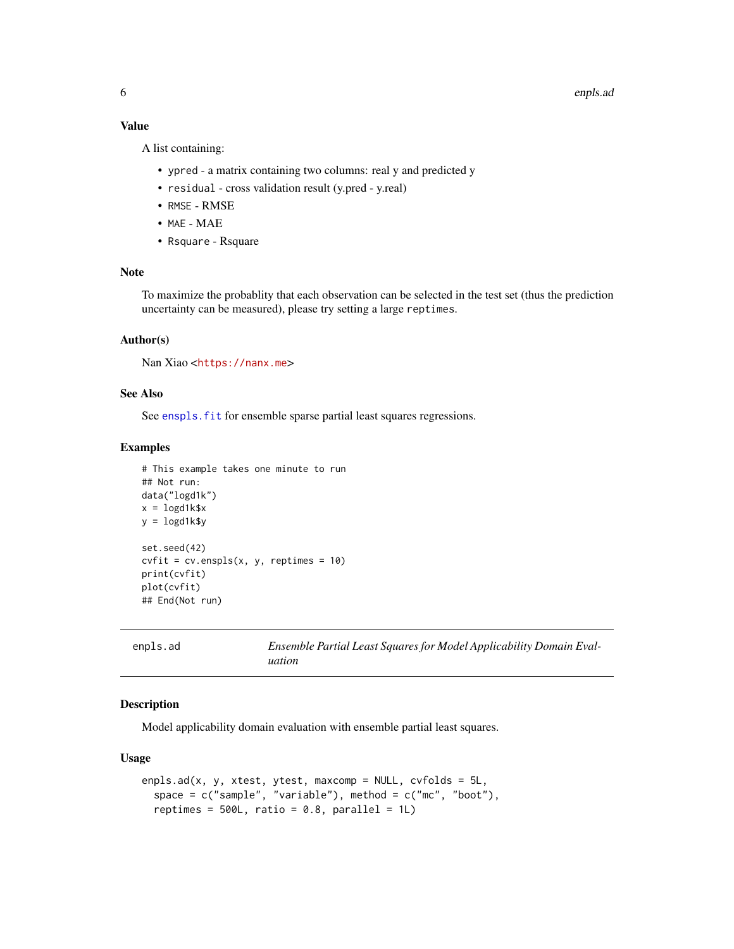#### <span id="page-5-0"></span>Value

A list containing:

- ypred a matrix containing two columns: real y and predicted y
- residual cross validation result (y.pred y.real)
- RMSE RMSE
- MAE MAE
- Rsquare Rsquare

#### Note

To maximize the probablity that each observation can be selected in the test set (thus the prediction uncertainty can be measured), please try setting a large reptimes.

#### Author(s)

Nan Xiao <<https://nanx.me>>

#### See Also

See enspls. fit for ensemble sparse partial least squares regressions.

#### Examples

```
# This example takes one minute to run
## Not run:
data("logd1k")
x = \text{logd1k$}xy = \text{logd1k$y}set.seed(42)
cvfit = cv.\nenspls(x, y, reptimes = 10)
print(cvfit)
plot(cvfit)
## End(Not run)
```
<span id="page-5-1"></span>enpls.ad *Ensemble Partial Least Squares for Model Applicability Domain Evaluation*

#### Description

Model applicability domain evaluation with ensemble partial least squares.

#### Usage

```
enpls.ad(x, y, xtest, ytest, maxcomp = NULL, c vfolds = 5L,
  space = c("sample", "variable"), method = c("mc", "boot"),reptimes = 500L, ratio = 0.8, parallel = 1L)
```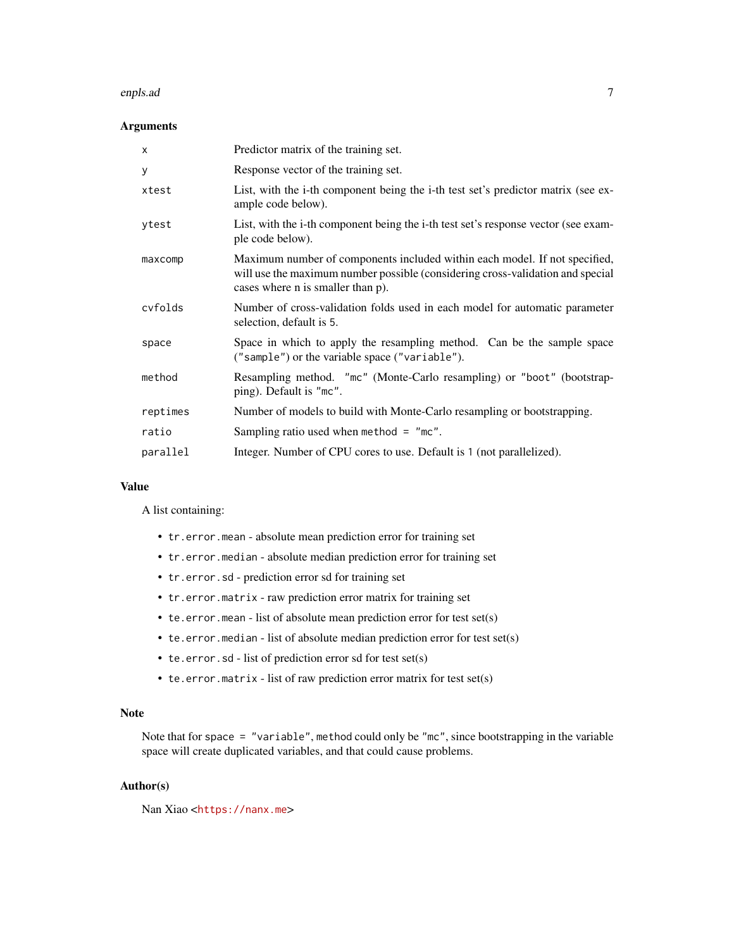#### enpls.ad 7

#### Arguments

| $\times$ | Predictor matrix of the training set.                                                                                                                                                             |
|----------|---------------------------------------------------------------------------------------------------------------------------------------------------------------------------------------------------|
| У        | Response vector of the training set.                                                                                                                                                              |
| xtest    | List, with the i-th component being the i-th test set's predictor matrix (see ex-<br>ample code below).                                                                                           |
| ytest    | List, with the i-th component being the i-th test set's response vector (see exam-<br>ple code below).                                                                                            |
| maxcomp  | Maximum number of components included within each model. If not specified,<br>will use the maximum number possible (considering cross-validation and special<br>cases where n is smaller than p). |
| cyfolds  | Number of cross-validation folds used in each model for automatic parameter<br>selection, default is 5.                                                                                           |
| space    | Space in which to apply the resampling method. Can be the sample space<br>("sample") or the variable space ("variable").                                                                          |
| method   | Resampling method. "mc" (Monte-Carlo resampling) or "boot" (bootstrap-<br>ping). Default is "mc".                                                                                                 |
| reptimes | Number of models to build with Monte-Carlo resampling or bootstrapping.                                                                                                                           |
| ratio    | Sampling ratio used when method $=$ "mc".                                                                                                                                                         |
| parallel | Integer. Number of CPU cores to use. Default is 1 (not parallelized).                                                                                                                             |

#### Value

A list containing:

- tr.error.mean absolute mean prediction error for training set
- tr.error.median absolute median prediction error for training set
- tr.error.sd prediction error sd for training set
- tr.error.matrix raw prediction error matrix for training set
- te.error.mean list of absolute mean prediction error for test set(s)
- te.error.median list of absolute median prediction error for test set(s)
- te.error.sd list of prediction error sd for test set(s)
- te.error.matrix list of raw prediction error matrix for test set(s)

#### Note

Note that for space = "variable", method could only be "mc", since bootstrapping in the variable space will create duplicated variables, and that could cause problems.

#### Author(s)

Nan Xiao <<https://nanx.me>>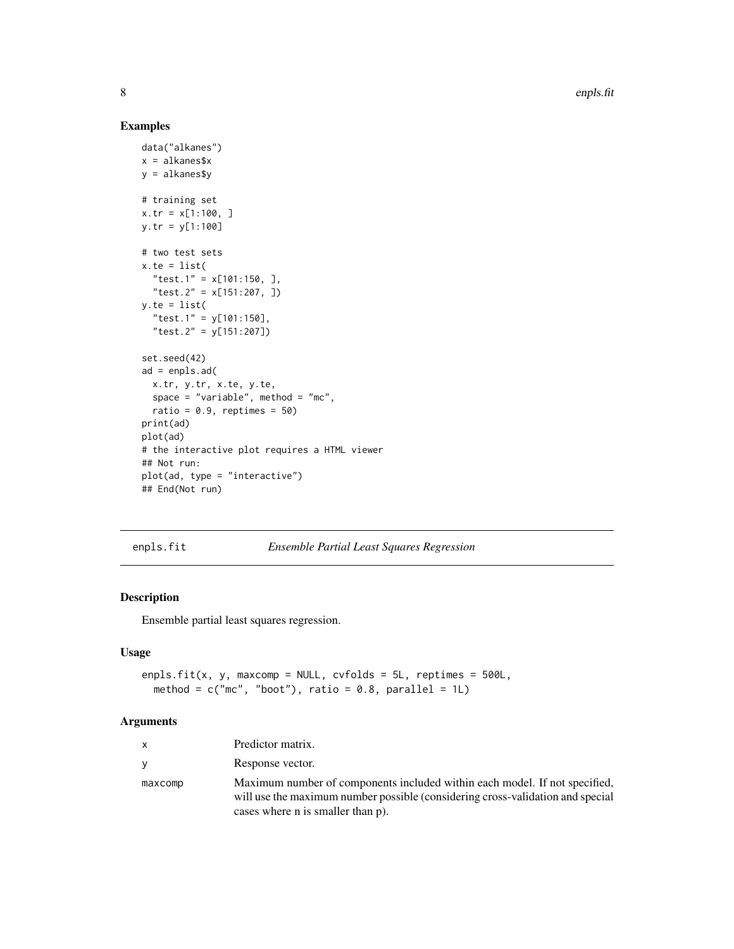#### Examples

```
data("alkanes")
x = alkanes$x
y = alkanes$y
# training set
x.tr = x[1:100, ]
y.tr = y[1:100]
# two test sets
x.te = list("test.1" = x[101:150, ],
  "test.2" = x[151:207, ])
y.te = list(
  "test.1" = y[101:150],
  "test.2" = y[151:207])
set.seed(42)
ad = enpls.ad(
 x.tr, y.tr, x.te, y.te,
  space = "variable", method = "mc",
 ratio = 0.9, reptimes = 50)
print(ad)
plot(ad)
# the interactive plot requires a HTML viewer
## Not run:
plot(ad, type = "interactive")
## End(Not run)
```
<span id="page-7-1"></span>enpls.fit *Ensemble Partial Least Squares Regression*

#### Description

Ensemble partial least squares regression.

#### Usage

```
enpls.fit(x, y, maxcomp = NULL, cvfolds = 5L, reptimes = 500L,
 method = c("mc", "boot"), ratio = 0.8, parallel = 1L)
```

| $\mathsf{X}$ | Predictor matrix.                                                                                                                                                                                 |
|--------------|---------------------------------------------------------------------------------------------------------------------------------------------------------------------------------------------------|
| <b>V</b>     | Response vector.                                                                                                                                                                                  |
| maxcomp      | Maximum number of components included within each model. If not specified,<br>will use the maximum number possible (considering cross-validation and special<br>cases where n is smaller than p). |

<span id="page-7-0"></span>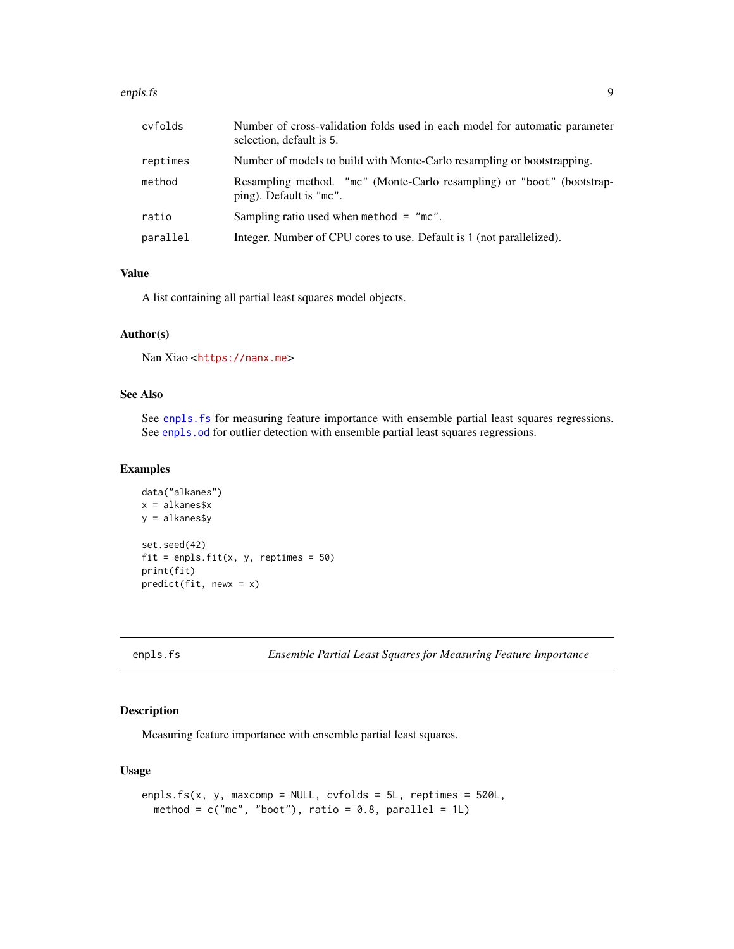#### <span id="page-8-0"></span>enpls.fs 9

| cyfolds  | Number of cross-validation folds used in each model for automatic parameter<br>selection, default is 5. |
|----------|---------------------------------------------------------------------------------------------------------|
| reptimes | Number of models to build with Monte-Carlo resampling or bootstrapping.                                 |
| method   | Resampling method. "mc" (Monte-Carlo resampling) or "boot" (bootstrap-<br>ping). Default is "mc".       |
| ratio    | Sampling ratio used when method $=$ "mc".                                                               |
| parallel | Integer. Number of CPU cores to use. Default is 1 (not parallelized).                                   |

#### Value

A list containing all partial least squares model objects.

#### Author(s)

Nan Xiao <<https://nanx.me>>

# See Also

See enpls. fs for measuring feature importance with ensemble partial least squares regressions. See [enpls.od](#page-10-1) for outlier detection with ensemble partial least squares regressions.

#### Examples

```
data("alkanes")
x = alkanes$x
y = alkanes$y
set.seed(42)
fit = enpls.fit(x, y, reptimes = 50)print(fit)
predict(fit, newx = x)
```
<span id="page-8-1"></span>

# Description

Measuring feature importance with ensemble partial least squares.

#### Usage

```
enpls.fs(x, y, maxcomp = NULL, cvfolds = 5L, reptimes = 500L,
 method = c("mc", "boot"), ratio = 0.8, parallel = 1L)
```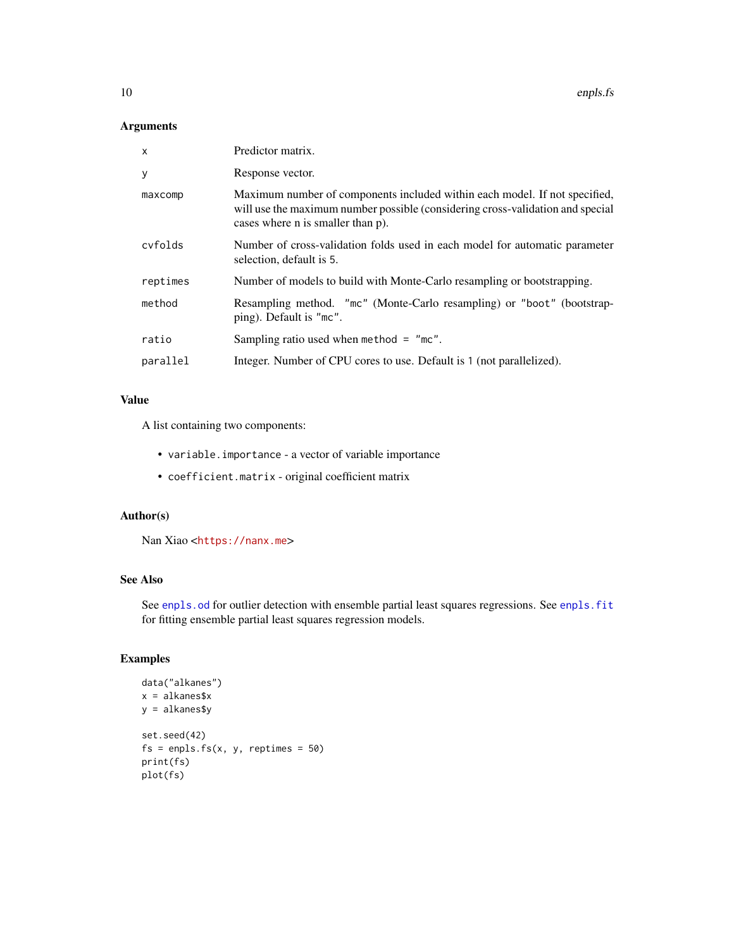#### <span id="page-9-0"></span>Arguments

| X        | Predictor matrix.                                                                                                                                                                                 |
|----------|---------------------------------------------------------------------------------------------------------------------------------------------------------------------------------------------------|
| У        | Response vector.                                                                                                                                                                                  |
| maxcomp  | Maximum number of components included within each model. If not specified,<br>will use the maximum number possible (considering cross-validation and special<br>cases where n is smaller than p). |
| cyfolds  | Number of cross-validation folds used in each model for automatic parameter<br>selection, default is 5.                                                                                           |
| reptimes | Number of models to build with Monte-Carlo resampling or bootstrapping.                                                                                                                           |
| method   | Resampling method. "mc" (Monte-Carlo resampling) or "boot" (bootstrap-<br>ping). Default is "mc".                                                                                                 |
| ratio    | Sampling ratio used when method $=$ "mc".                                                                                                                                                         |
| parallel | Integer. Number of CPU cores to use. Default is 1 (not parallelized).                                                                                                                             |

# Value

A list containing two components:

- variable.importance a vector of variable importance
- coefficient.matrix original coefficient matrix

#### Author(s)

Nan Xiao <<https://nanx.me>>

# See Also

See [enpls.od](#page-10-1) for outlier detection with ensemble partial least squares regressions. See [enpls.fit](#page-7-1) for fitting ensemble partial least squares regression models.

```
data("alkanes")
x = alkanes$x
y = alkanes$y
set.seed(42)
fs = enpls.fs(x, y, reptimes = 50)print(fs)
plot(fs)
```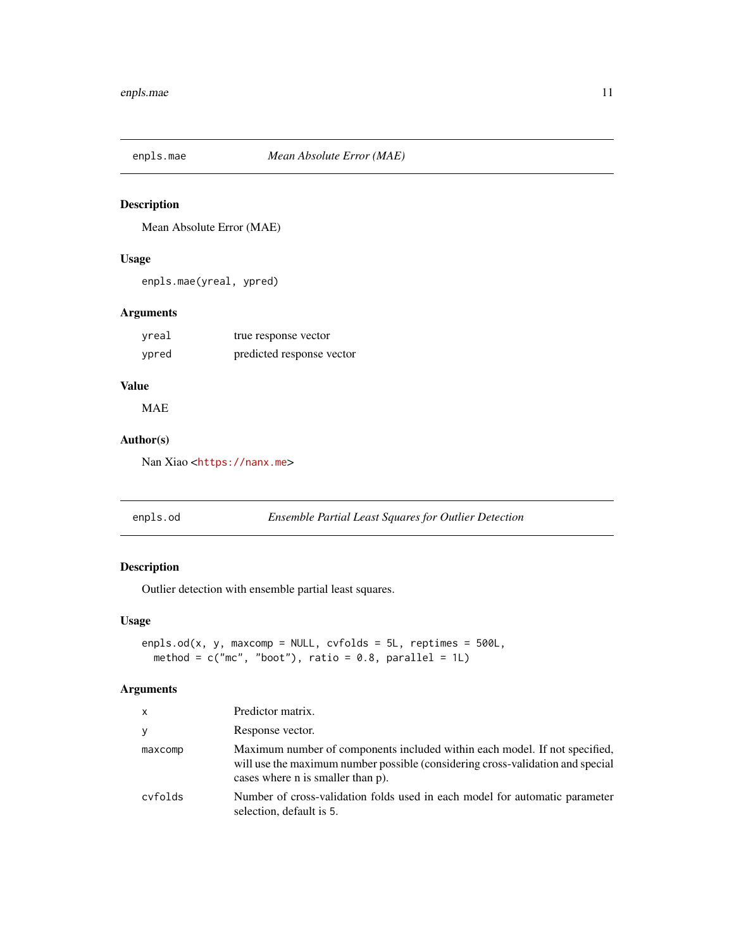<span id="page-10-0"></span>

# Description

Mean Absolute Error (MAE)

#### Usage

enpls.mae(yreal, ypred)

# Arguments

| yreal | true response vector      |
|-------|---------------------------|
| ypred | predicted response vector |

# Value

MAE

# Author(s)

Nan Xiao <<https://nanx.me>>

<span id="page-10-1"></span>enpls.od *Ensemble Partial Least Squares for Outlier Detection*

# Description

Outlier detection with ensemble partial least squares.

#### Usage

```
enpls.od(x, y, maxcomp = NULL, cvfolds = 5L, reptimes = 500L,
 method = c("mc", "boot"), ratio = 0.8, parallel = 1L)
```

| X.      | Predictor matrix.                                                                                                                                                                                 |
|---------|---------------------------------------------------------------------------------------------------------------------------------------------------------------------------------------------------|
| ٧       | Response vector.                                                                                                                                                                                  |
| maxcomp | Maximum number of components included within each model. If not specified,<br>will use the maximum number possible (considering cross-validation and special<br>cases where n is smaller than p). |
| cvfolds | Number of cross-validation folds used in each model for automatic parameter<br>selection, default is 5.                                                                                           |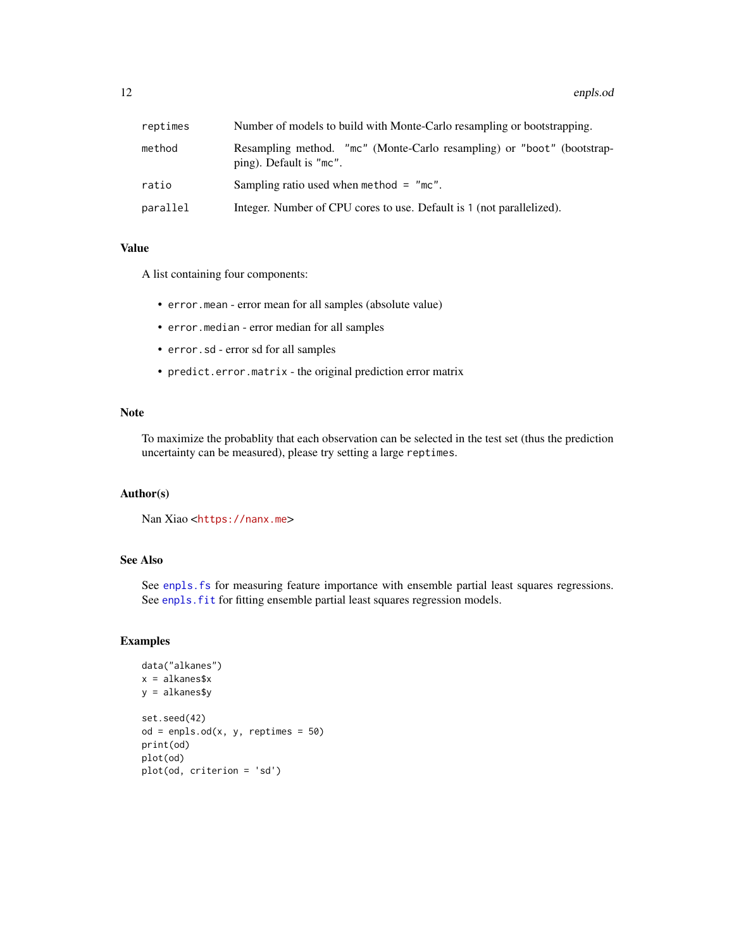#### <span id="page-11-0"></span>12 enpls.od

| reptimes | Number of models to build with Monte-Carlo resampling or bootstrapping.                           |  |
|----------|---------------------------------------------------------------------------------------------------|--|
| method   | Resampling method. "mc" (Monte-Carlo resampling) or "boot" (bootstrap-<br>ping). Default is "mc". |  |
| ratio    | Sampling ratio used when method $=$ "mc".                                                         |  |
| parallel | Integer. Number of CPU cores to use. Default is 1 (not parallelized).                             |  |

#### Value

A list containing four components:

- error.mean error mean for all samples (absolute value)
- error.median error median for all samples
- error.sd error sd for all samples
- predict.error.matrix the original prediction error matrix

#### Note

To maximize the probablity that each observation can be selected in the test set (thus the prediction uncertainty can be measured), please try setting a large reptimes.

#### Author(s)

Nan Xiao <<https://nanx.me>>

#### See Also

See enpls. fs for measuring feature importance with ensemble partial least squares regressions. See enpls. fit for fitting ensemble partial least squares regression models.

```
data("alkanes")
x = alkanes$x
y = alkanes$y
set.seed(42)
od = <i>enpls</i> . <math>od(x, y, <i>reptimes = 50</i>)</math>print(od)
plot(od)
plot(od, criterion = 'sd')
```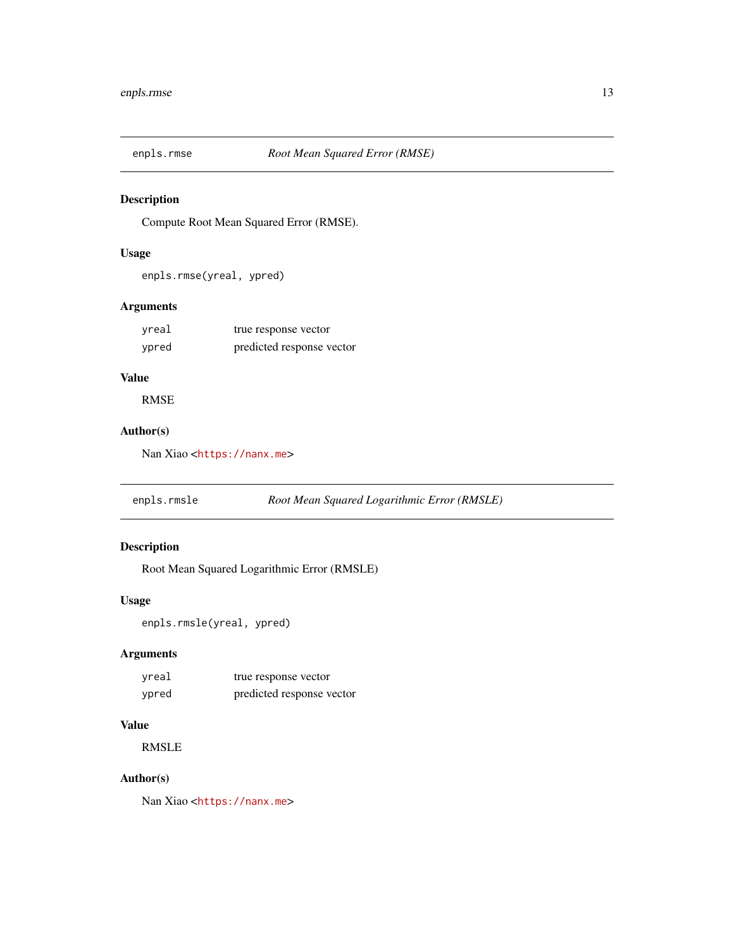<span id="page-12-0"></span>

#### Description

Compute Root Mean Squared Error (RMSE).

# Usage

enpls.rmse(yreal, ypred)

# Arguments

| yreal | true response vector      |
|-------|---------------------------|
| ypred | predicted response vector |

# Value

RMSE

# Author(s)

Nan Xiao <<https://nanx.me>>

enpls.rmsle *Root Mean Squared Logarithmic Error (RMSLE)*

# Description

Root Mean Squared Logarithmic Error (RMSLE)

#### Usage

```
enpls.rmsle(yreal, ypred)
```
# Arguments

| yreal | true response vector      |
|-------|---------------------------|
| ypred | predicted response vector |

#### Value

RMSLE

#### Author(s)

Nan Xiao <<https://nanx.me>>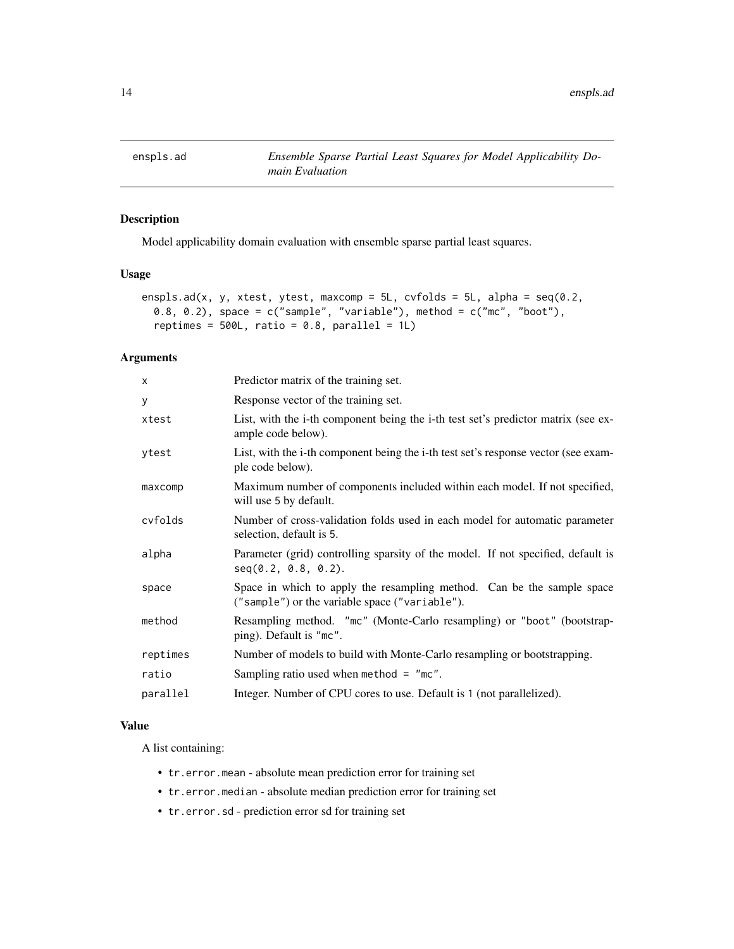<span id="page-13-1"></span><span id="page-13-0"></span>

# Description

Model applicability domain evaluation with ensemble sparse partial least squares.

#### Usage

```
enspls.ad(x, y, xtest, ytest, maxcomp = 5L, cvfolds = 5L, alpha = seq(0.2,0.8, 0.2), space = c("sample", "variable"), method = c("mc", "boot"),reptimes = 500L, ratio = 0.8, parallel = 1L)
```
#### Arguments

| $\times$ | Predictor matrix of the training set.                                                                                    |
|----------|--------------------------------------------------------------------------------------------------------------------------|
| У        | Response vector of the training set.                                                                                     |
| xtest    | List, with the i-th component being the i-th test set's predictor matrix (see ex-<br>ample code below).                  |
| ytest    | List, with the i-th component being the i-th test set's response vector (see exam-<br>ple code below).                   |
| maxcomp  | Maximum number of components included within each model. If not specified,<br>will use 5 by default.                     |
| cvfolds  | Number of cross-validation folds used in each model for automatic parameter<br>selection, default is 5.                  |
| alpha    | Parameter (grid) controlling sparsity of the model. If not specified, default is<br>seq(0.2, 0.8, 0.2).                  |
| space    | Space in which to apply the resampling method. Can be the sample space<br>("sample") or the variable space ("variable"). |
| method   | Resampling method. "mc" (Monte-Carlo resampling) or "boot" (bootstrap-<br>ping). Default is "mc".                        |
| reptimes | Number of models to build with Monte-Carlo resampling or bootstrapping.                                                  |
| ratio    | Sampling ratio used when method $=$ "mc".                                                                                |
| parallel | Integer. Number of CPU cores to use. Default is 1 (not parallelized).                                                    |

#### Value

A list containing:

- tr.error.mean absolute mean prediction error for training set
- tr.error.median absolute median prediction error for training set
- tr.error.sd prediction error sd for training set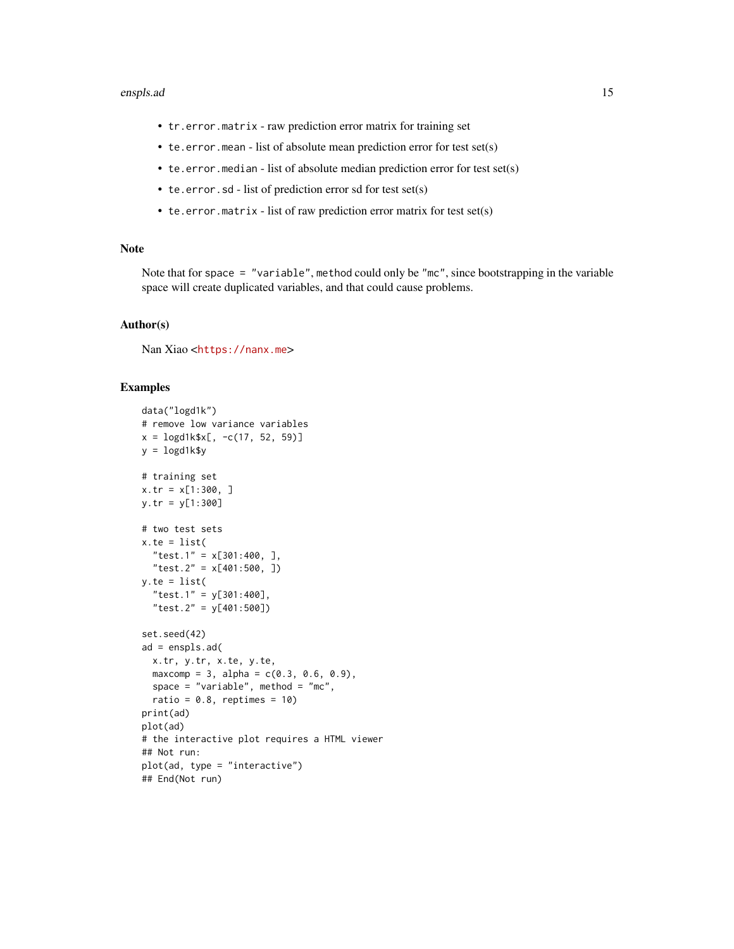#### enspls.ad 15

- tr.error.matrix raw prediction error matrix for training set
- te.error.mean list of absolute mean prediction error for test set(s)
- te.error.median list of absolute median prediction error for test set(s)
- te.error.sd list of prediction error sd for test set(s)
- te.error.matrix list of raw prediction error matrix for test set(s)

#### Note

Note that for space = "variable", method could only be "mc", since bootstrapping in the variable space will create duplicated variables, and that could cause problems.

#### Author(s)

Nan Xiao <<https://nanx.me>>

```
data("logd1k")
# remove low variance variables
x = \log\frac{d1k}{x}, -c(17, 52, 59)y = \text{logd1k$y}# training set
x.tr = x[1:300, ]
y.tr = y[1:300]
# two test sets
x.te = list("test.1" = x[301:400, ],
  "test.2" = x[401:500, ])
y.te = list("test.1" = y[301:400],
  "test.2" = y[401:500])
set.seed(42)
ad = enspls.add(x.tr, y.tr, x.te, y.te,
  maxcomp = 3, alpha = c(0.3, 0.6, 0.9),
 space = "variable", method = "mc",
  ratio = 0.8, reptimes = 10)
print(ad)
plot(ad)
# the interactive plot requires a HTML viewer
## Not run:
plot(ad, type = "interactive")
## End(Not run)
```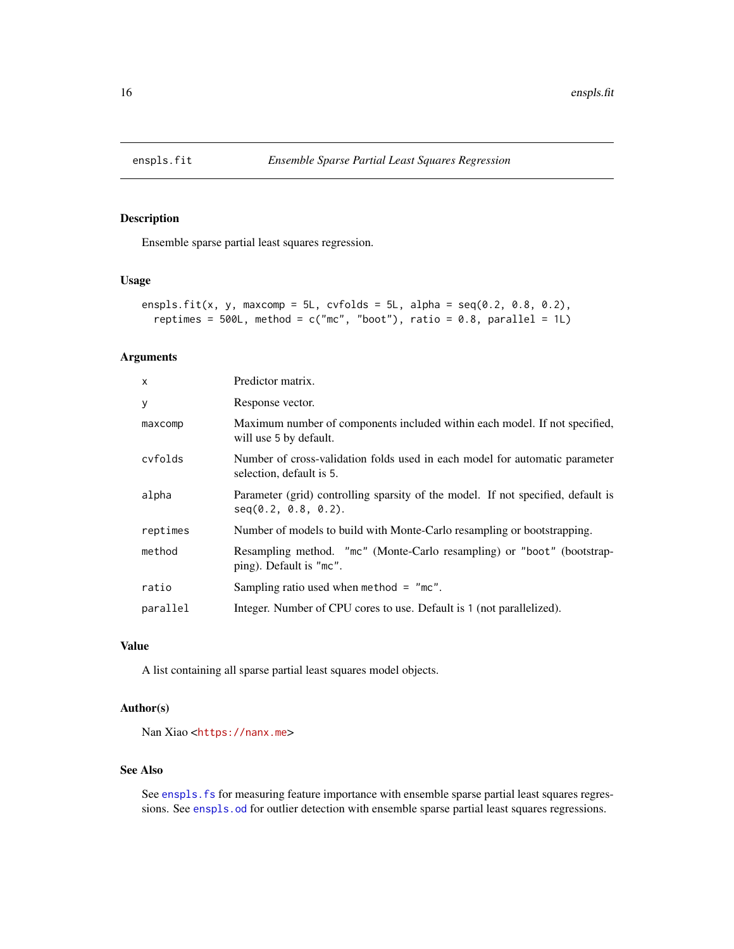<span id="page-15-1"></span><span id="page-15-0"></span>

#### Description

Ensemble sparse partial least squares regression.

#### Usage

```
enspls.fit(x, y, maxcomp = 5L, cvfolds = 5L, alpha = seq(0.2, 0.8, 0.2),
  reptimes = 500L, method = c("mc", "boot"), ratio = 0.8, parallel = 1L)
```
#### Arguments

| $\mathsf{x}$ | Predictor matrix.                                                                                          |
|--------------|------------------------------------------------------------------------------------------------------------|
| y            | Response vector.                                                                                           |
| maxcomp      | Maximum number of components included within each model. If not specified,<br>will use 5 by default.       |
| cyfolds      | Number of cross-validation folds used in each model for automatic parameter<br>selection, default is 5.    |
| alpha        | Parameter (grid) controlling sparsity of the model. If not specified, default is<br>$seq(0.2, 0.8, 0.2)$ . |
| reptimes     | Number of models to build with Monte-Carlo resampling or bootstrapping.                                    |
| method       | Resampling method. "mc" (Monte-Carlo resampling) or "boot" (bootstrap-<br>ping). Default is "mc".          |
| ratio        | Sampling ratio used when method $=$ "mc".                                                                  |
| parallel     | Integer. Number of CPU cores to use. Default is 1 (not parallelized).                                      |

# Value

A list containing all sparse partial least squares model objects.

#### Author(s)

Nan Xiao <<https://nanx.me>>

#### See Also

See enspls. fs for measuring feature importance with ensemble sparse partial least squares regressions. See [enspls.od](#page-17-1) for outlier detection with ensemble sparse partial least squares regressions.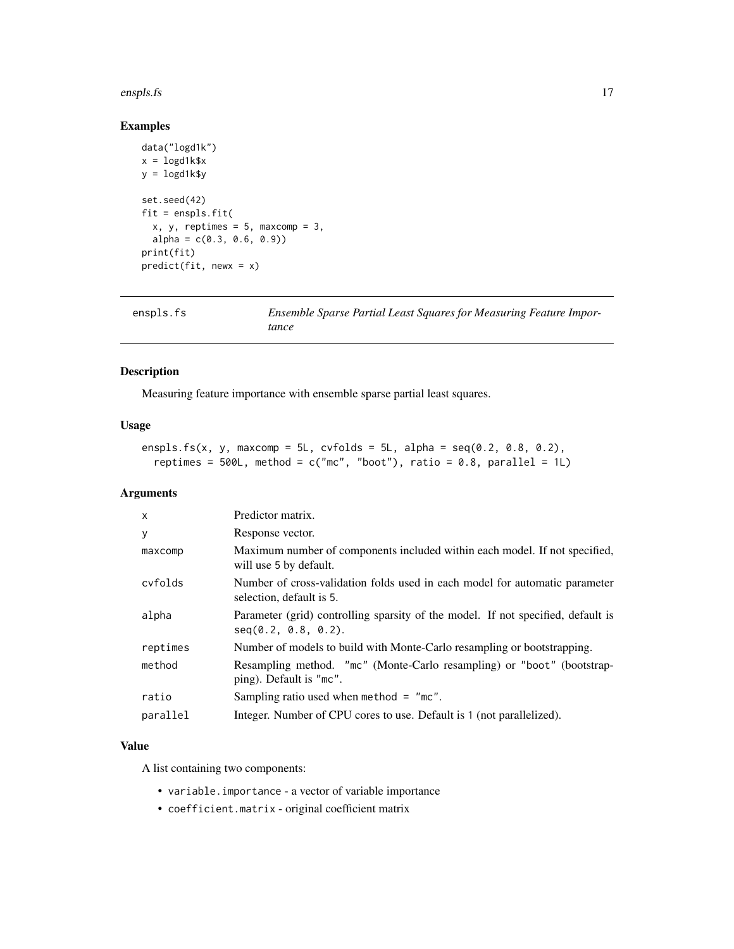#### <span id="page-16-0"></span>enspls.fs 17

# Examples

```
data("logd1k")
x = \text{logd1k}$x
y = \text{logd1k$y}set.seed(42)
fit = enspls.fit(
  x, y, reptimes = 5, maxcomp = 3,
  alpha = c(0.3, 0.6, 0.9)print(fit)
predict(fit, newx = x)
```
<span id="page-16-1"></span>

| enspls.fs | Ensemble Sparse Partial Least Squares for Measuring Feature Impor- |
|-----------|--------------------------------------------------------------------|
|           | tance                                                              |

#### Description

Measuring feature importance with ensemble sparse partial least squares.

#### Usage

```
enspls.fs(x, y, maxcomp = 5L, cvfolds = 5L, alpha = seq(0.2, 0.8, 0.2),
 reptimes = 500L, method = c("mc", "boot"), ratio = 0.8, parallel = 1L)
```
#### Arguments

| X        | Predictor matrix.                                                                                       |
|----------|---------------------------------------------------------------------------------------------------------|
| У        | Response vector.                                                                                        |
| maxcomp  | Maximum number of components included within each model. If not specified,<br>will use 5 by default.    |
| cyfolds  | Number of cross-validation folds used in each model for automatic parameter<br>selection, default is 5. |
| alpha    | Parameter (grid) controlling sparsity of the model. If not specified, default is<br>seq(0.2, 0.8, 0.2). |
| reptimes | Number of models to build with Monte-Carlo resampling or bootstrapping.                                 |
| method   | Resampling method. "mc" (Monte-Carlo resampling) or "boot" (bootstrap-<br>ping). Default is "mc".       |
| ratio    | Sampling ratio used when method $=$ "mc".                                                               |
| parallel | Integer. Number of CPU cores to use. Default is 1 (not parallelized).                                   |

# Value

A list containing two components:

- variable.importance a vector of variable importance
- coefficient.matrix original coefficient matrix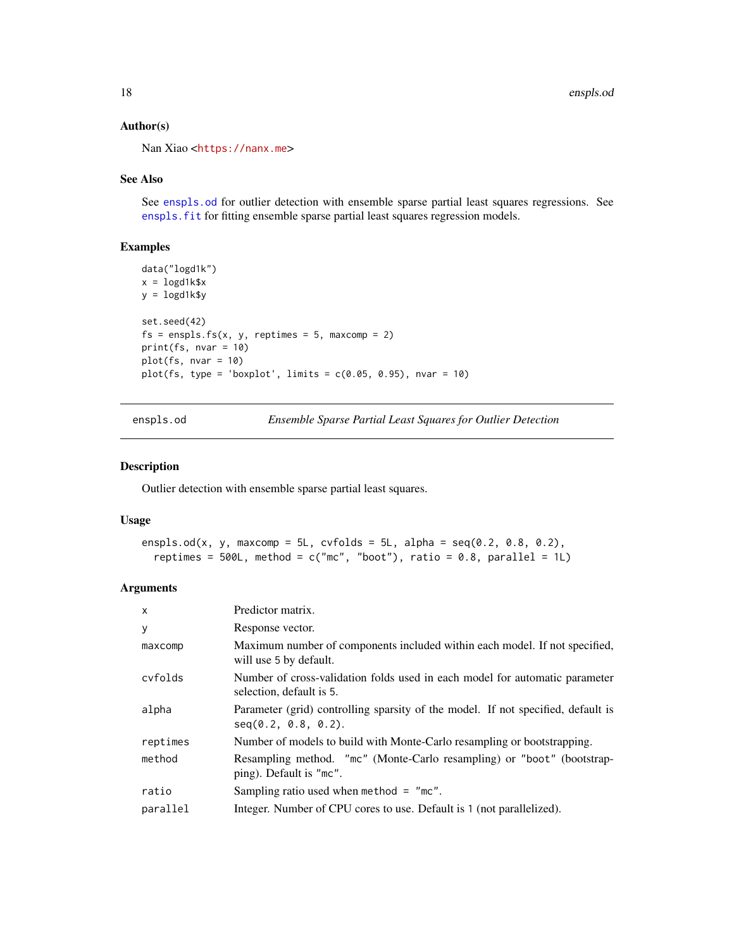#### Author(s)

Nan Xiao <<https://nanx.me>>

#### See Also

See [enspls.od](#page-17-1) for outlier detection with ensemble sparse partial least squares regressions. See enspls. fit for fitting ensemble sparse partial least squares regression models.

#### Examples

```
data("logd1k")
x = \text{logd1k$}xy = logd1k$y
set.seed(42)
fs = enspls.fs(x, y, reptimes = 5, maxcomp = 2)print(fs, nvar = 10)
plot(fs, nvar = 10)
plot(fs, type = 'boxplot', limits = c(0.05, 0.95), nvar = 10)
```
<span id="page-17-1"></span>enspls.od *Ensemble Sparse Partial Least Squares for Outlier Detection*

#### Description

Outlier detection with ensemble sparse partial least squares.

#### Usage

```
enspls.od(x, y, maxcomp = 5L, cvfolds = 5L, alpha = seq(0.2, 0.8, 0.2),
  reptimes = 500L, method = c("mc", "boot"), ratio = 0.8, parallel = 1L)
```

| $\mathsf{x}$ | Predictor matrix.                                                                                       |
|--------------|---------------------------------------------------------------------------------------------------------|
| y            | Response vector.                                                                                        |
| maxcomp      | Maximum number of components included within each model. If not specified,<br>will use 5 by default.    |
| cyfolds      | Number of cross-validation folds used in each model for automatic parameter<br>selection, default is 5. |
| alpha        | Parameter (grid) controlling sparsity of the model. If not specified, default is<br>seq(0.2, 0.8, 0.2). |
| reptimes     | Number of models to build with Monte-Carlo resampling or bootstrapping.                                 |
| method       | Resampling method. "mc" (Monte-Carlo resampling) or "boot" (bootstrap-<br>ping). Default is "mc".       |
| ratio        | Sampling ratio used when method $=$ "mc".                                                               |
| parallel     | Integer. Number of CPU cores to use. Default is 1 (not parallelized).                                   |

<span id="page-17-0"></span>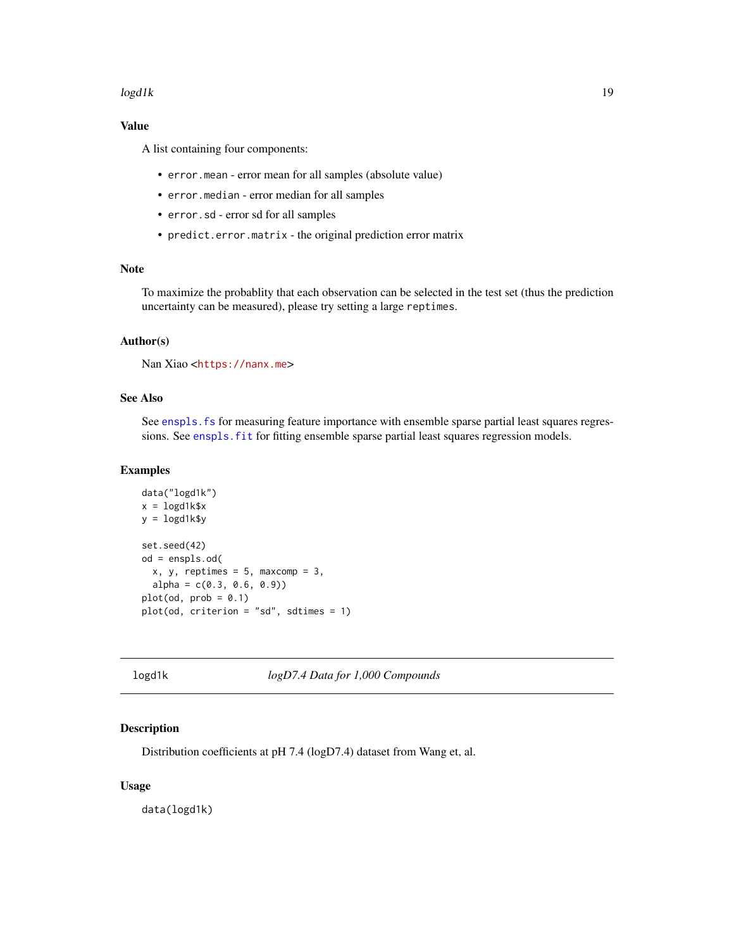#### <span id="page-18-0"></span> $log d1k$  19

# Value

A list containing four components:

- error.mean error mean for all samples (absolute value)
- error.median error median for all samples
- error.sd error sd for all samples
- predict.error.matrix the original prediction error matrix

# Note

To maximize the probablity that each observation can be selected in the test set (thus the prediction uncertainty can be measured), please try setting a large reptimes.

#### Author(s)

Nan Xiao <<https://nanx.me>>

#### See Also

See enspls. fs for measuring feature importance with ensemble sparse partial least squares regressions. See enspls. fit for fitting ensemble sparse partial least squares regression models.

#### Examples

```
data("logd1k")
x = \text{logd1k$}xy = \text{logd1k$}set.seed(42)
od = enspls.od(
  x, y, reptimes = 5, maxcomp = 3,
  alpha = c(0.3, 0.6, 0.9)plot(od, prob = 0.1)plot(od, criterion = "sd", sdtimes = 1)
```
logd1k *logD7.4 Data for 1,000 Compounds*

#### Description

Distribution coefficients at pH 7.4 (logD7.4) dataset from Wang et, al.

#### Usage

data(logd1k)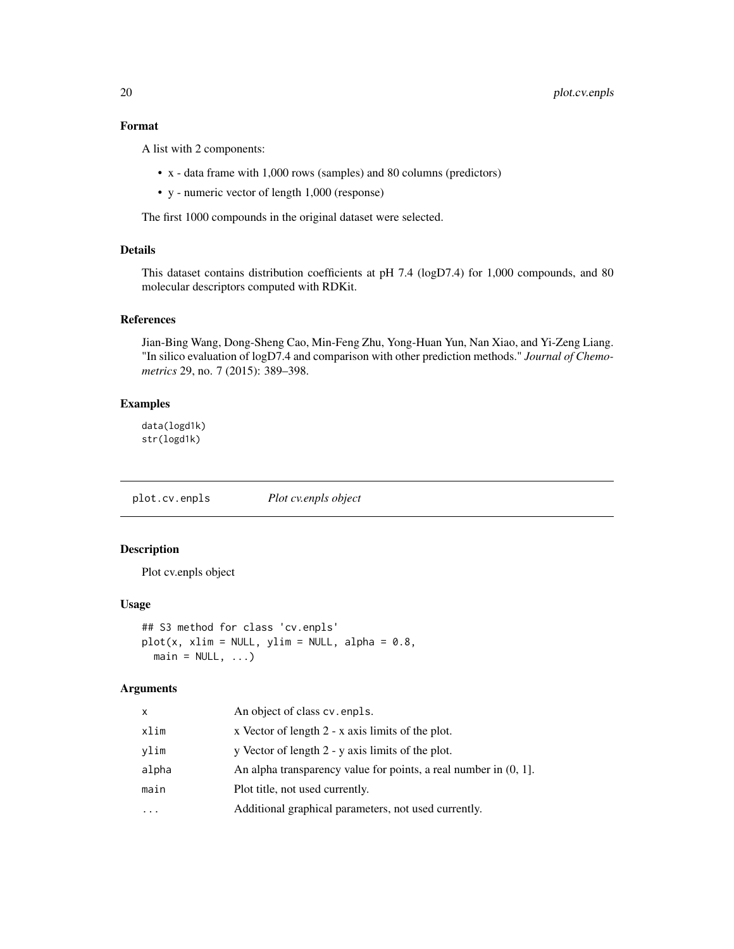# <span id="page-19-0"></span>Format

A list with 2 components:

- x data frame with 1,000 rows (samples) and 80 columns (predictors)
- y numeric vector of length 1,000 (response)

The first 1000 compounds in the original dataset were selected.

# Details

This dataset contains distribution coefficients at pH 7.4 (logD7.4) for 1,000 compounds, and 80 molecular descriptors computed with RDKit.

#### References

Jian-Bing Wang, Dong-Sheng Cao, Min-Feng Zhu, Yong-Huan Yun, Nan Xiao, and Yi-Zeng Liang. "In silico evaluation of logD7.4 and comparison with other prediction methods." *Journal of Chemometrics* 29, no. 7 (2015): 389–398.

#### Examples

data(logd1k) str(logd1k)

plot.cv.enpls *Plot cv.enpls object*

# Description

Plot cv.enpls object

#### Usage

```
## S3 method for class 'cv.enpls'
plot(x, xlim = NULL, ylim = NULL, alpha = 0.8,main = NULL, ...
```

| x     | An object of class cv. enpls.                                       |
|-------|---------------------------------------------------------------------|
| xlim  | x Vector of length 2 - x axis limits of the plot.                   |
| vlim  | y Vector of length 2 - y axis limits of the plot.                   |
| alpha | An alpha transparency value for points, a real number in $(0, 1]$ . |
| main  | Plot title, not used currently.                                     |
| .     | Additional graphical parameters, not used currently.                |
|       |                                                                     |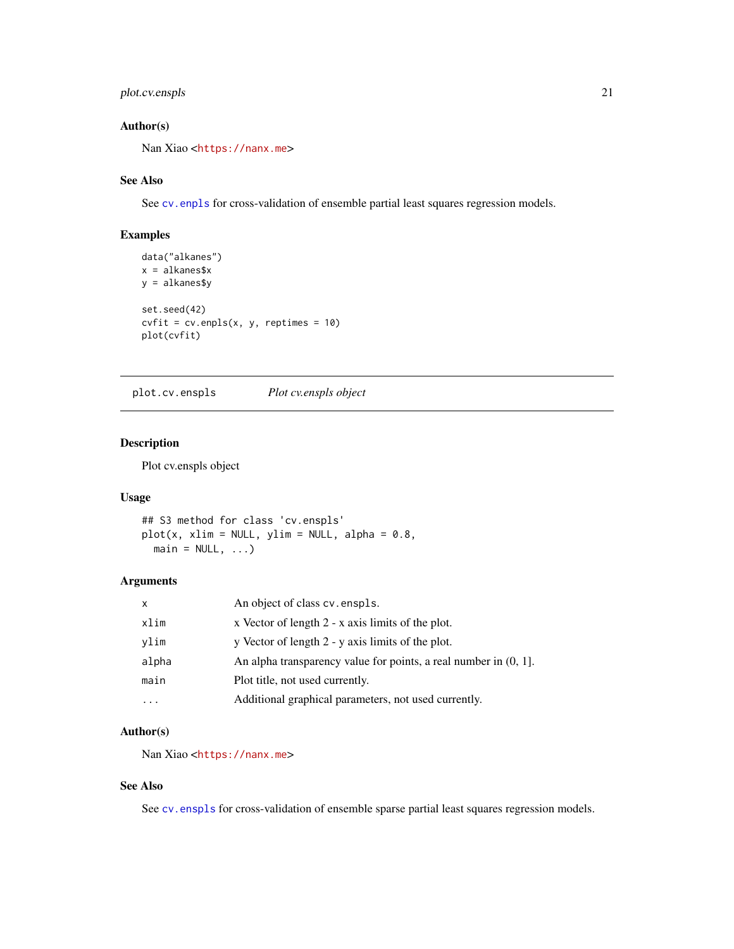# <span id="page-20-0"></span>plot.cv.enspls 21

# Author(s)

Nan Xiao <<https://nanx.me>>

#### See Also

See [cv.enpls](#page-3-1) for cross-validation of ensemble partial least squares regression models.

# Examples

```
data("alkanes")
x = alkanes$x
y = alkanes$y
set.seed(42)
cvfit = cv.\text{enpls}(x, y, \text{reptimes} = 10)plot(cvfit)
```
plot.cv.enspls *Plot cv.enspls object*

#### Description

Plot cv.enspls object

#### Usage

```
## S3 method for class 'cv.enspls'
plot(x, xlim = NULL, ylim = NULL, alpha = 0.8,main = NULL, ...
```
#### Arguments

| $\mathsf{x}$ | An object of class cv. enspls.                                      |
|--------------|---------------------------------------------------------------------|
| xlim         | x Vector of length 2 - x axis limits of the plot.                   |
| ylim         | y Vector of length 2 - y axis limits of the plot.                   |
| alpha        | An alpha transparency value for points, a real number in $(0, 1]$ . |
| main         | Plot title, not used currently.                                     |
|              | Additional graphical parameters, not used currently.                |

#### Author(s)

Nan Xiao <<https://nanx.me>>

#### See Also

See [cv.enspls](#page-4-1) for cross-validation of ensemble sparse partial least squares regression models.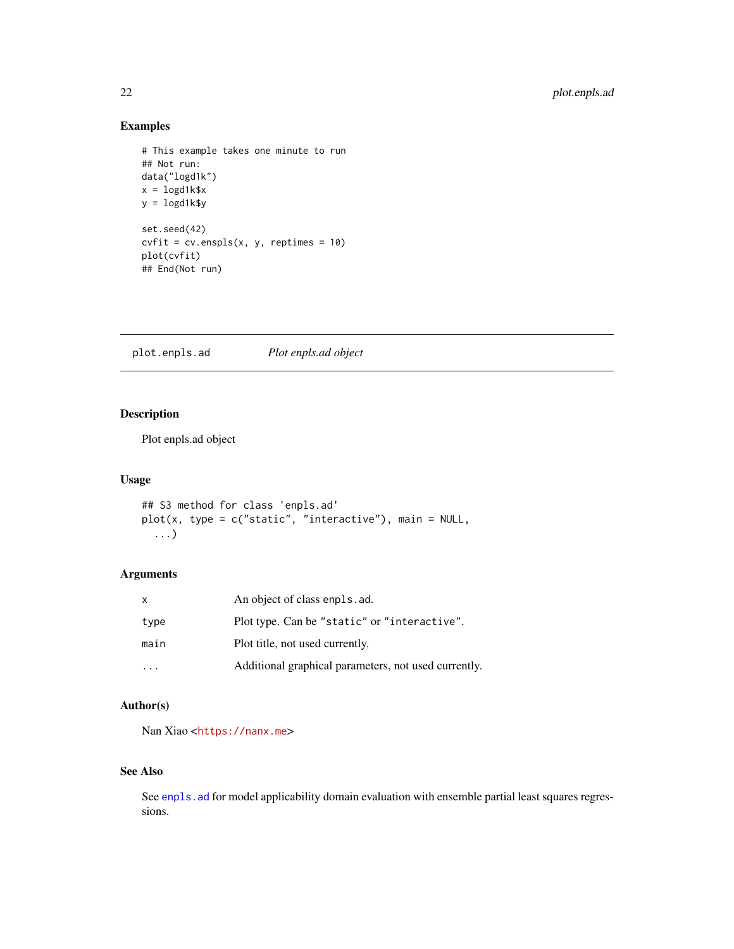# <span id="page-21-0"></span>Examples

```
# This example takes one minute to run
## Not run:
data("logd1k")
x = \text{logd1k}\y = logd1k$y
set.seed(42)
cvfit = cv.\nenspls(x, y, reptimes = 10)
plot(cvfit)
## End(Not run)
```
plot.enpls.ad *Plot enpls.ad object*

# Description

Plot enpls.ad object

# Usage

```
## S3 method for class 'enpls.ad'
plot(x, type = c("static", "interactive"), main = NULL,
  ...)
```
# Arguments

| $\mathsf{x}$ | An object of class enpls. ad.                        |
|--------------|------------------------------------------------------|
| type         | Plot type. Can be "static" or "interactive".         |
| main         | Plot title, not used currently.                      |
|              | Additional graphical parameters, not used currently. |

# Author(s)

Nan Xiao <<https://nanx.me>>

#### See Also

See enpls. ad for model applicability domain evaluation with ensemble partial least squares regressions.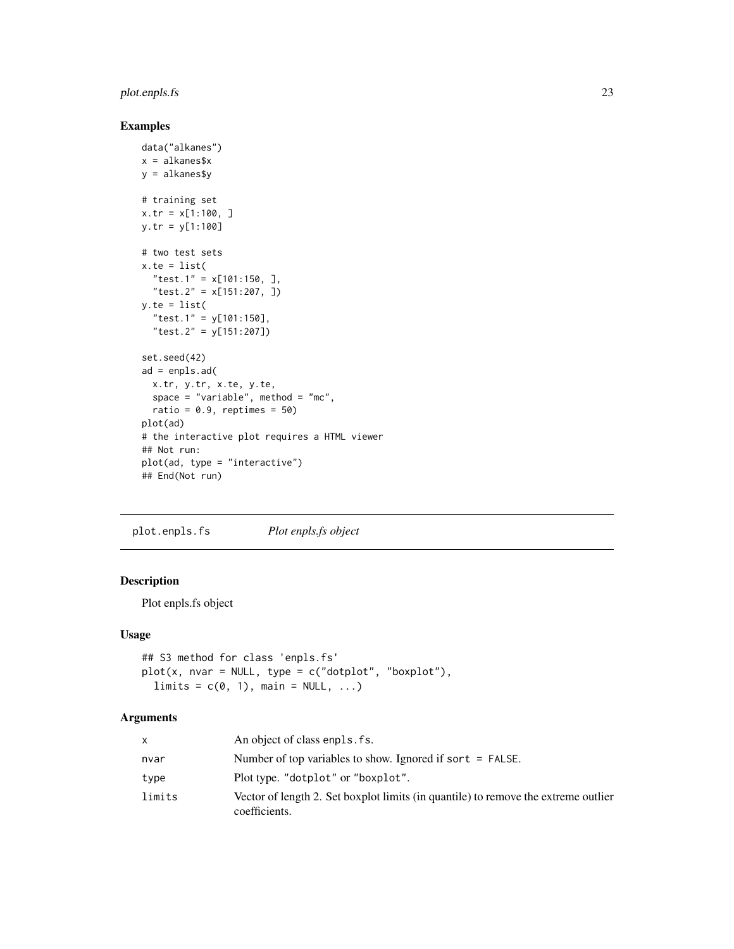# <span id="page-22-0"></span>plot.enpls.fs 23

#### Examples

```
data("alkanes")
x = alkanes$x
y = alkanes$y
# training set
x.tr = x[1:100, ]
y.tr = y[1:100]
# two test sets
x.te = list("test.1" = x[101:150, ],
  "test.2" = x[151:207, ])
y.te = list("test.1" = y[101:150],
  "test.2" = y[151:207])
set.seed(42)
ad = enpls.add(x.tr, y.tr, x.te, y.te,
  space = "variable", method = "mc",
  ratio = 0.9, reptimes = 50)
plot(ad)
# the interactive plot requires a HTML viewer
## Not run:
plot(ad, type = "interactive")
## End(Not run)
```
plot.enpls.fs *Plot enpls.fs object*

# Description

Plot enpls.fs object

#### Usage

```
## S3 method for class 'enpls.fs'
plot(x, nvar = NULL, type = c("dotplot", "boxplot"),
 limits = c(0, 1), main = NULL, ...)
```

| X      | An object of class enpls. fs.                                                                       |
|--------|-----------------------------------------------------------------------------------------------------|
| nvar   | Number of top variables to show. Ignored if sort $=$ FALSE.                                         |
| type   | Plot type. "dotplot" or "boxplot".                                                                  |
| limits | Vector of length 2. Set boxplot limits (in quantile) to remove the extreme outlier<br>coefficients. |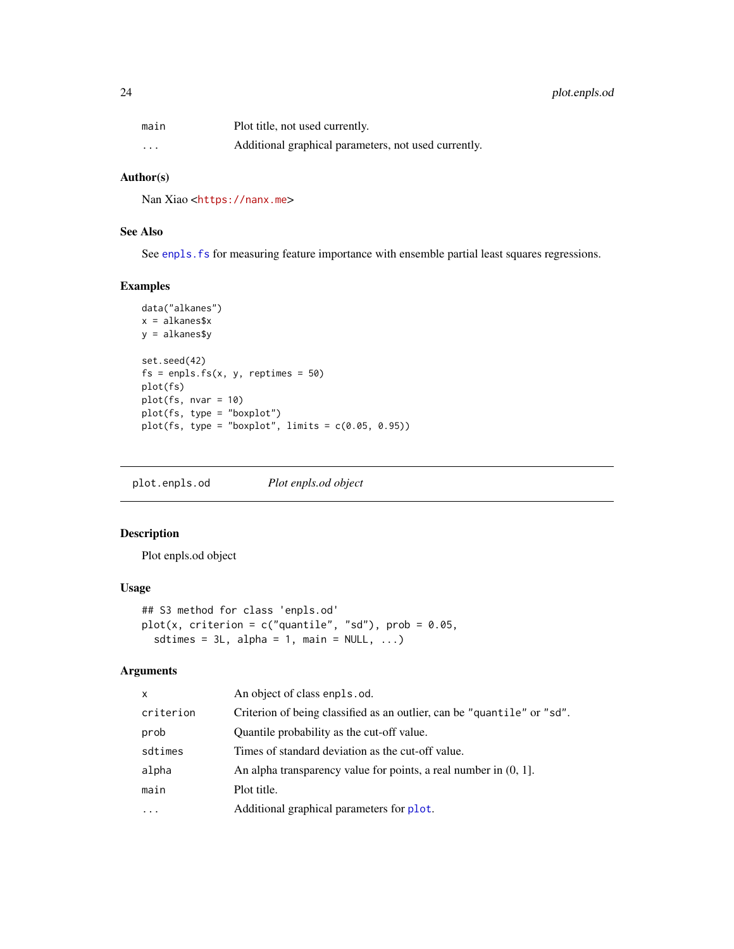<span id="page-23-0"></span>

| main                    | Plot title, not used currently.                      |
|-------------------------|------------------------------------------------------|
| $\cdot$ $\cdot$ $\cdot$ | Additional graphical parameters, not used currently. |

#### Author(s)

Nan Xiao <<https://nanx.me>>

# See Also

See enpls. fs for measuring feature importance with ensemble partial least squares regressions.

#### Examples

```
data("alkanes")
x = alkanes$x
y = alkanes$y
set.seed(42)
fs = enpls.fs(x, y, reptimes = 50)plot(fs)
plot(fs, nvar = 10)
plot(fs, type = "boxplot")
plot(fs, type = "boxplot", limits = c(0.05, 0.95))
```
plot.enpls.od *Plot enpls.od object*

# Description

Plot enpls.od object

# Usage

```
## S3 method for class 'enpls.od'
plot(x, criterion = c("quantile", "sd"), prob = 0.05,
  sdtimes = 3L, alpha = 1, main = NULL, ...)
```

| $\mathsf{x}$ | An object of class enpls.od.                                            |
|--------------|-------------------------------------------------------------------------|
| criterion    | Criterion of being classified as an outlier, can be "quantile" or "sd". |
| prob         | Quantile probability as the cut-off value.                              |
| sdtimes      | Times of standard deviation as the cut-off value.                       |
| alpha        | An alpha transparency value for points, a real number in $(0, 1]$ .     |
| main         | Plot title.                                                             |
| .            | Additional graphical parameters for plot.                               |
|              |                                                                         |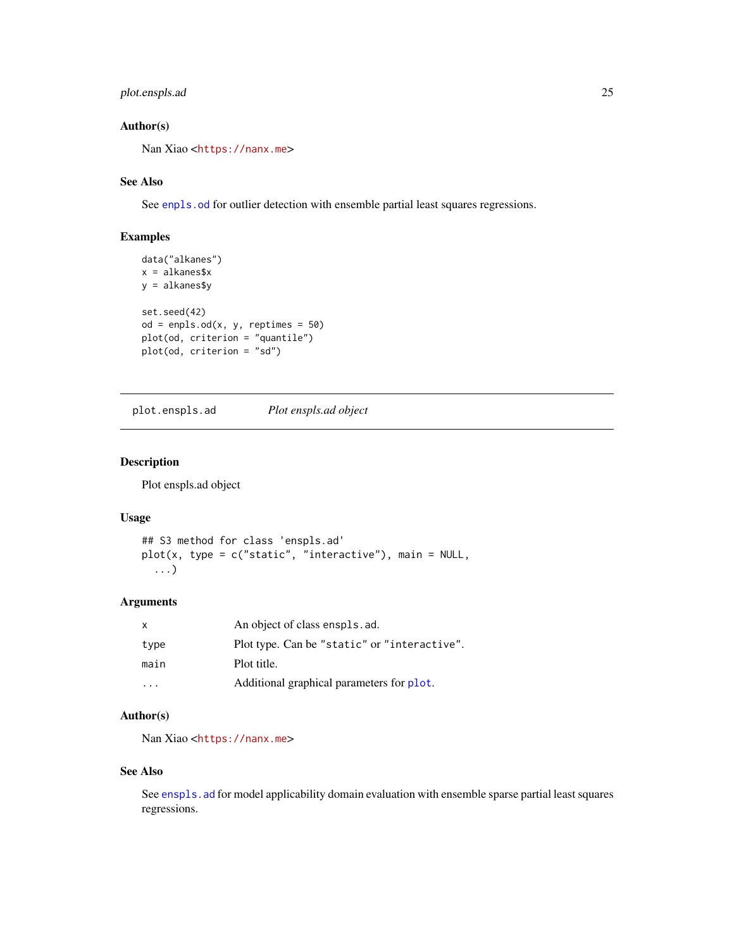# <span id="page-24-0"></span>plot.enspls.ad 25

# Author(s)

Nan Xiao <<https://nanx.me>>

# See Also

See [enpls.od](#page-10-1) for outlier detection with ensemble partial least squares regressions.

# Examples

```
data("alkanes")
x = alkanes$x
y = alkanes$y
set.seed(42)
od = enpls.od(x, y, reptimes = 50)plot(od, criterion = "quantile")
plot(od, criterion = "sd")
```
plot.enspls.ad *Plot enspls.ad object*

#### Description

Plot enspls.ad object

#### Usage

```
## S3 method for class 'enspls.ad'
plot(x, type = c("static", "interactive"), main = NULL,
  ...)
```
#### Arguments

| $\mathsf{X}$ | An object of class enspls. ad.               |
|--------------|----------------------------------------------|
| type         | Plot type. Can be "static" or "interactive". |
| main         | Plot title.                                  |
| $\cdot$      | Additional graphical parameters for plot.    |

# Author(s)

Nan Xiao <<https://nanx.me>>

#### See Also

See [enspls.ad](#page-13-1) for model applicability domain evaluation with ensemble sparse partial least squares regressions.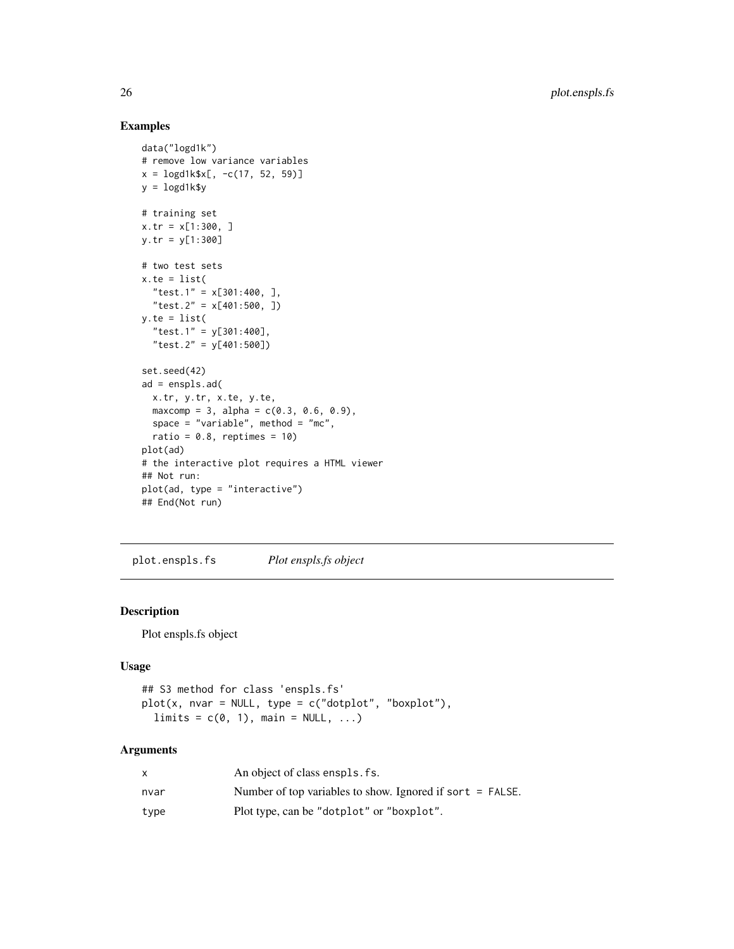# Examples

```
data("logd1k")
# remove low variance variables
x = \log d1k$x[, -c(17, 52, 59)]
y = \text{logd1k$y}# training set
x.tr = x[1:300, ]
y.tr = y[1:300]
# two test sets
x.te = list("test.1" = x[301:400, ],
  "test.2" = x[401:500, ])
y.te = list("test.1" = y[301:400],
  "test.2" = y[401:500])
set.seed(42)
ad = enspls.ad(
 x.tr, y.tr, x.te, y.te,
  maxcomp = 3, alpha = c(0.3, 0.6, 0.9),
  space = "variable", method = "mc",
  ratio = 0.8, reptimes = 10)
plot(ad)
# the interactive plot requires a HTML viewer
## Not run:
plot(ad, type = "interactive")
## End(Not run)
```
plot.enspls.fs *Plot enspls.fs object*

# Description

Plot enspls.fs object

# Usage

```
## S3 method for class 'enspls.fs'
plot(x, nvar = NULL, type = c("dotplot", "boxplot"),
 limits = c(0, 1), main = NULL, ...)
```

|      | An object of class enspls. fs.                              |
|------|-------------------------------------------------------------|
| nvar | Number of top variables to show. Ignored if sort $=$ FALSE. |
| type | Plot type, can be "dotplot" or "boxplot".                   |

<span id="page-25-0"></span>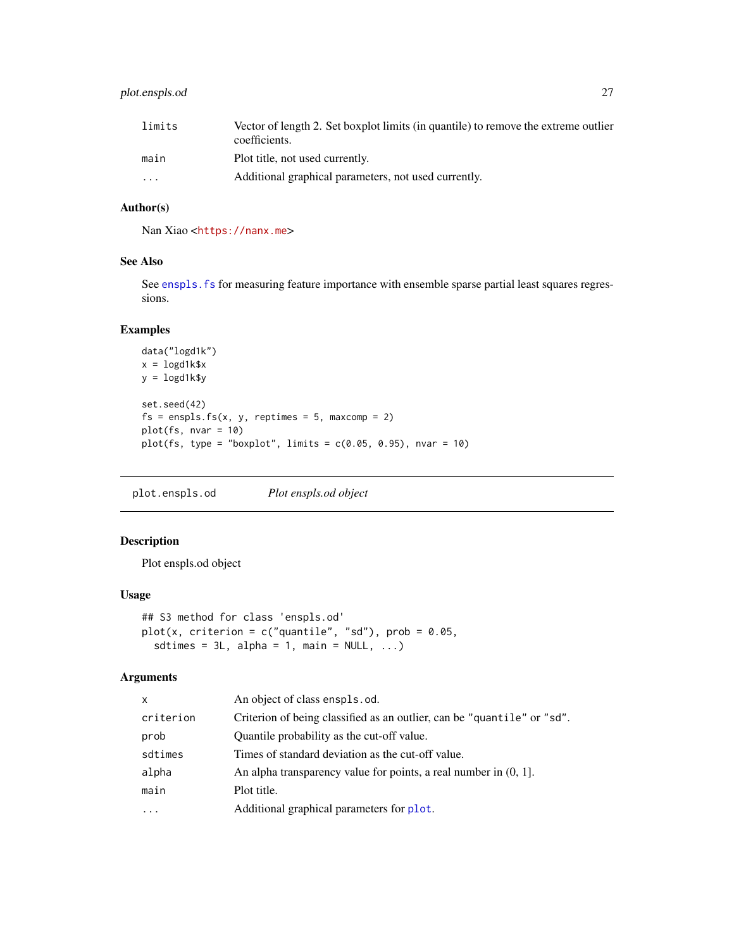# <span id="page-26-0"></span>plot.enspls.od 27

| limits   | Vector of length 2. Set boxplot limits (in quantile) to remove the extreme outlier<br>coefficients. |
|----------|-----------------------------------------------------------------------------------------------------|
| main     | Plot title, not used currently.                                                                     |
| $\cdots$ | Additional graphical parameters, not used currently.                                                |

#### Author(s)

Nan Xiao <<https://nanx.me>>

#### See Also

See enspls. fs for measuring feature importance with ensemble sparse partial least squares regressions.

# Examples

```
data("logd1k")
x = \text{logd1k}\y = logd1k$y
set.seed(42)
fs = enspls.fs(x, y, reptimes = 5, maxcomp = 2)plot(fs, nvar = 10)
plot(fs, type = "boxplot", limits = c(0.05, 0.95), nvar = 10)
```
plot.enspls.od *Plot enspls.od object*

# Description

Plot enspls.od object

#### Usage

```
## S3 method for class 'enspls.od'
plot(x, criterion = c("quantile", "sd"), prob = 0.05,sdtimes = 3L, alpha = 1, main = NULL, ...)
```

| X         | An object of class enspls.od.                                           |
|-----------|-------------------------------------------------------------------------|
| criterion | Criterion of being classified as an outlier, can be "quantile" or "sd". |
| prob      | Quantile probability as the cut-off value.                              |
| sdtimes   | Times of standard deviation as the cut-off value.                       |
| alpha     | An alpha transparency value for points, a real number in $(0, 1]$ .     |
| main      | Plot title.                                                             |
| $\cdots$  | Additional graphical parameters for plot.                               |
|           |                                                                         |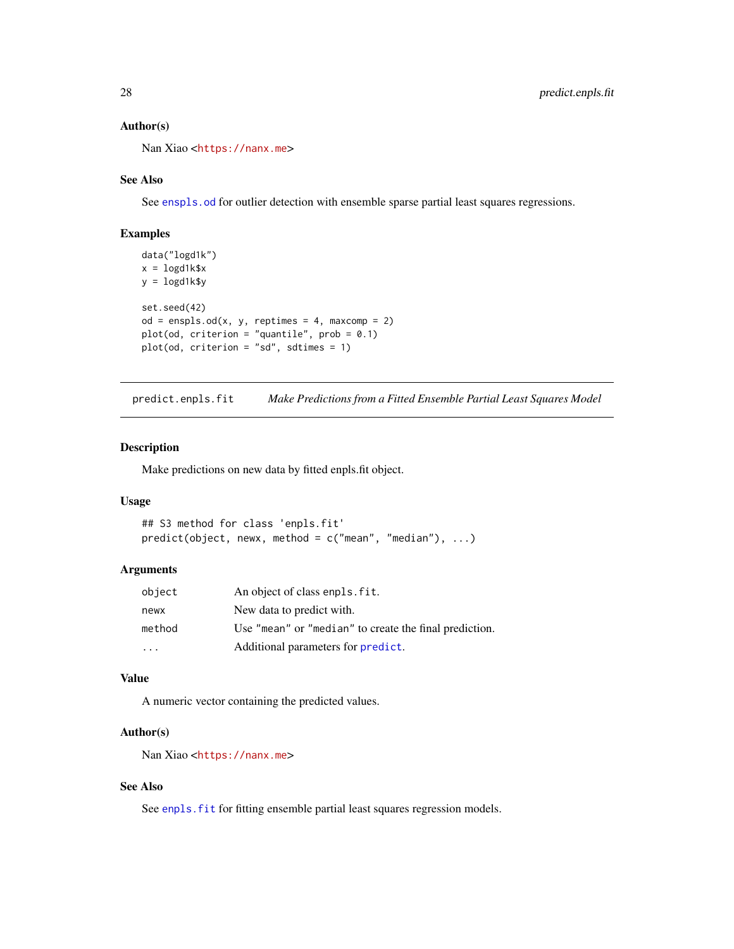#### Author(s)

Nan Xiao <<https://nanx.me>>

#### See Also

See enspls. od for outlier detection with ensemble sparse partial least squares regressions.

#### Examples

```
data("logd1k")
x = \text{logd1k$}xy = \text{logd1k$y}set.seed(42)
od = enspls.od(x, y, reptimes = 4, maxcomp = 2)plot(od, criterion = "quantile", prob = 0.1)
plot(od, criterion = "sd", sdtimes = 1)
```
predict.enpls.fit *Make Predictions from a Fitted Ensemble Partial Least Squares Model*

#### Description

Make predictions on new data by fitted enpls.fit object.

#### Usage

```
## S3 method for class 'enpls.fit'
predict(object, newx, method = c("mean", "median"), ...)
```
#### Arguments

| object    | An object of class enpls. fit.                         |
|-----------|--------------------------------------------------------|
| newx      | New data to predict with.                              |
| method    | Use "mean" or "median" to create the final prediction. |
| $\ddotsc$ | Additional parameters for predict.                     |

#### Value

A numeric vector containing the predicted values.

#### Author(s)

Nan Xiao <<https://nanx.me>>

# See Also

See enpls. fit for fitting ensemble partial least squares regression models.

<span id="page-27-0"></span>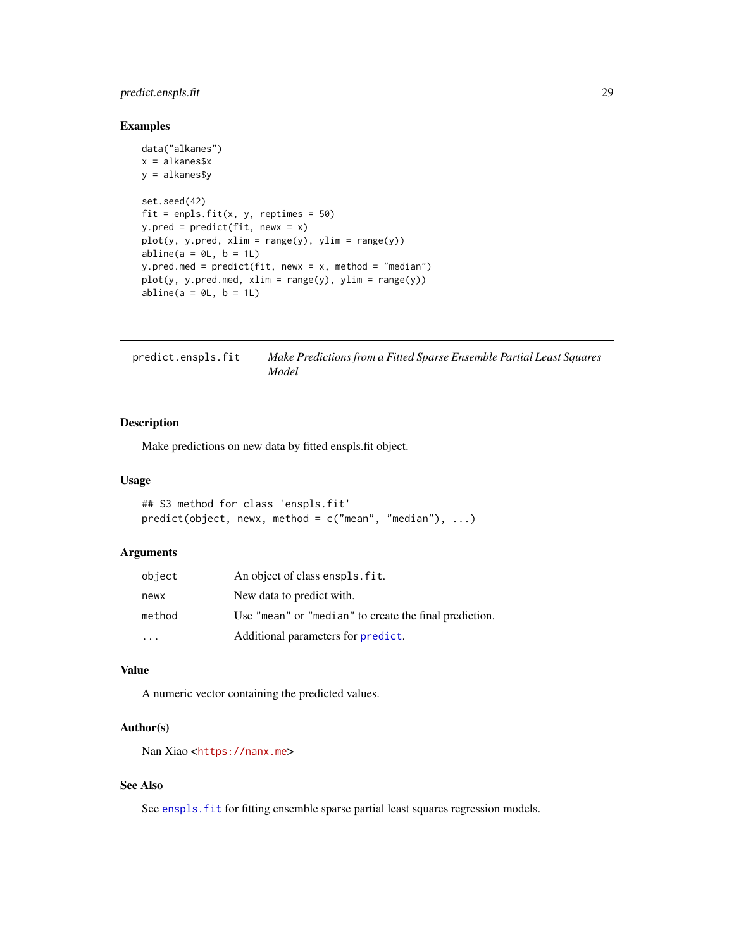# <span id="page-28-0"></span>predict.enspls.fit 29

#### Examples

```
data("alkanes")
x = alkanes$x
y = alkanes$y
set.seed(42)
fit = enpls.fit(x, y, reptimes = 50)
y.pred = predict(fit, newx = x)
plot(y, y.pred, xlim = range(y), ylim = range(y))abline(a = 0L, b = 1L)y.pred.med = predict(fit, newx = x, method = "median")plot(y, y.pred.med, xlim = range(y), ylim = range(y))
abline(a = 0L, b = 1L)
```

| predict.enspls.fit | Make Predictions from a Fitted Sparse Ensemble Partial Least Squares |
|--------------------|----------------------------------------------------------------------|
|                    | Model                                                                |

# Description

Make predictions on new data by fitted enspls.fit object.

#### Usage

```
## S3 method for class 'enspls.fit'
predict(object, newx, method = c("mean", "median"), ...)
```
#### Arguments

| object | An object of class enspls. fit.                        |
|--------|--------------------------------------------------------|
| newx   | New data to predict with.                              |
| method | Use "mean" or "median" to create the final prediction. |
|        | Additional parameters for predict.                     |

#### Value

A numeric vector containing the predicted values.

#### Author(s)

Nan Xiao <<https://nanx.me>>

# See Also

See enspls. fit for fitting ensemble sparse partial least squares regression models.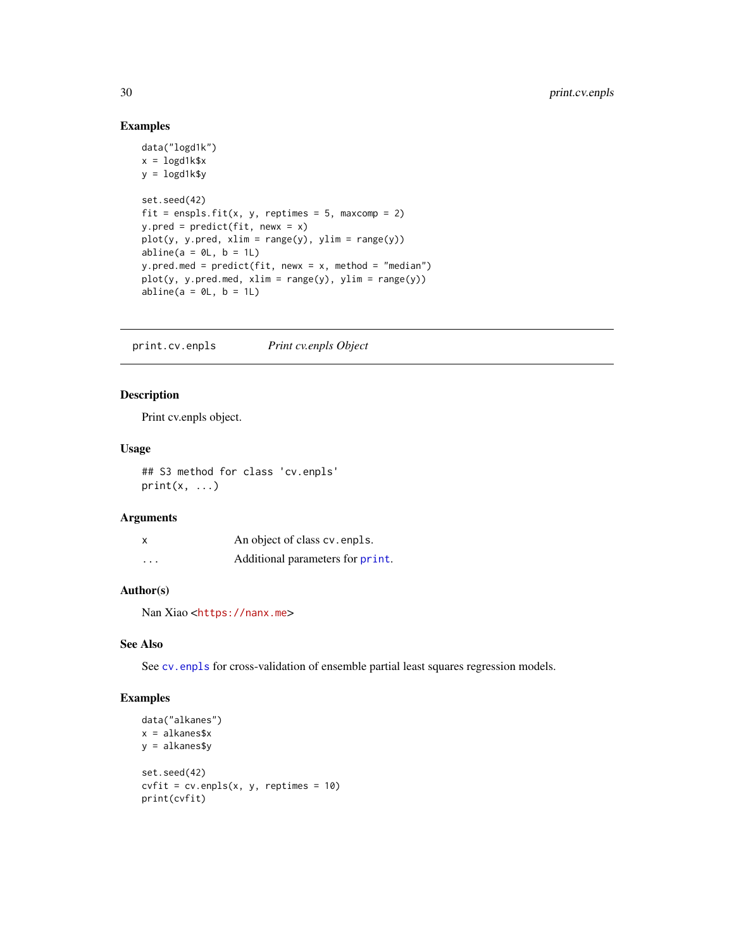# Examples

```
data("logd1k")
x = \text{logd1k$}xy = \text{logd1k$}set.seed(42)
fit = enspls.fit(x, y, reptimes = 5, maxcomp = 2)
y.pred = predict(fit, newx = x)plot(y, y.pred, xlim = range(y), ylim = range(y))abline(a = 0L, b = 1L)y.pred.med = predict(fit, newx = x, method = "median")
plot(y, y.pred med, xlim = range(y), ylim = range(y))abline(a = 0L, b = 1L)
```
print.cv.enpls *Print cv.enpls Object*

#### Description

Print cv.enpls object.

#### Usage

## S3 method for class 'cv.enpls'  $print(x, \ldots)$ 

#### Arguments

| X       | An object of class cv. enpls.    |
|---------|----------------------------------|
| $\cdot$ | Additional parameters for print. |

# Author(s)

Nan Xiao <<https://nanx.me>>

#### See Also

See [cv.enpls](#page-3-1) for cross-validation of ensemble partial least squares regression models.

```
data("alkanes")
x = alkanes$x
y = alkanes$y
set.seed(42)
cvfit = cv.\text{enpls}(x, y, \text{reptimes} = 10)print(cvfit)
```
<span id="page-29-0"></span>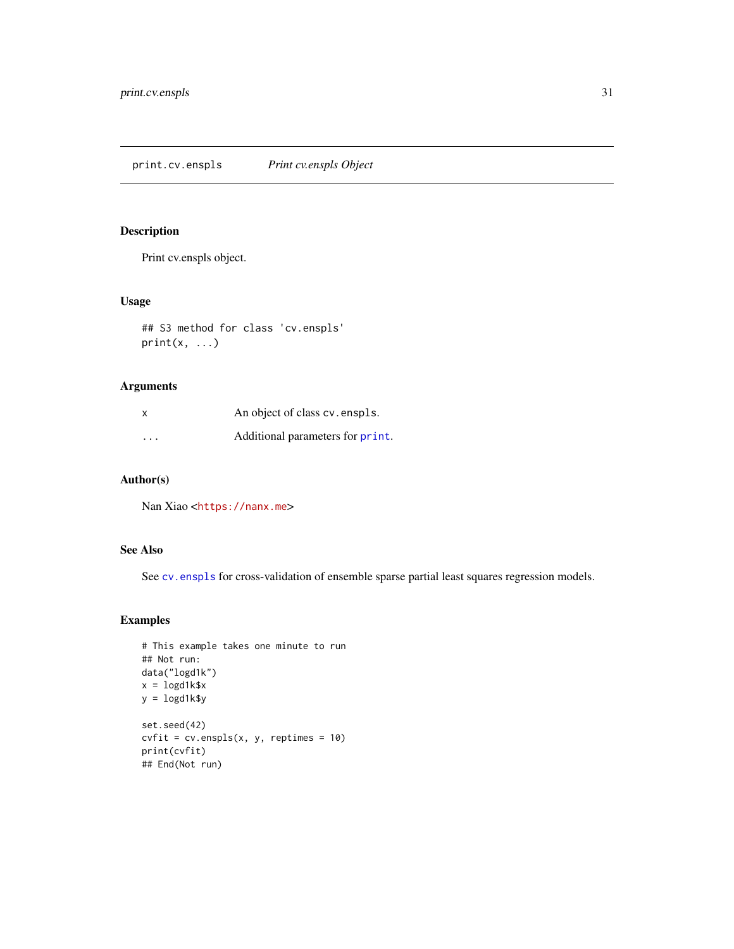<span id="page-30-0"></span>print.cv.enspls *Print cv.enspls Object*

# Description

Print cv.enspls object.

# Usage

## S3 method for class 'cv.enspls'  $print(x, \ldots)$ 

# Arguments

| x                       | An object of class cv. enspls.   |
|-------------------------|----------------------------------|
| $\cdot$ $\cdot$ $\cdot$ | Additional parameters for print. |

# Author(s)

Nan Xiao <<https://nanx.me>>

# See Also

See [cv.enspls](#page-4-1) for cross-validation of ensemble sparse partial least squares regression models.

```
# This example takes one minute to run
## Not run:
data("logd1k")
x = \text{logd1k$}xy = logd1k$y
set.seed(42)
cvfit = cv.enspls(x, y, reptimes = 10)
print(cvfit)
## End(Not run)
```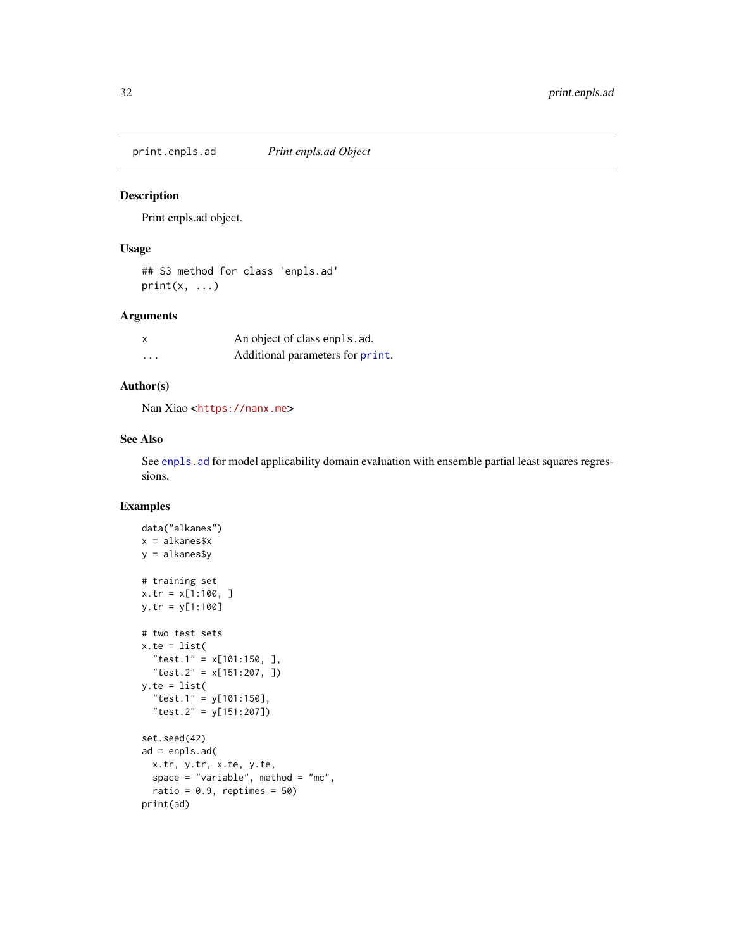<span id="page-31-0"></span>print.enpls.ad *Print enpls.ad Object*

# Description

Print enpls.ad object.

#### Usage

## S3 method for class 'enpls.ad'  $print(x, \ldots)$ 

#### Arguments

| X        | An object of class enpls. ad.    |
|----------|----------------------------------|
| $\cdots$ | Additional parameters for print. |

#### Author(s)

Nan Xiao <<https://nanx.me>>

#### See Also

See enpls. ad for model applicability domain evaluation with ensemble partial least squares regressions.

```
data("alkanes")
x = alkanes$x
y = alkanes$y
# training set
x.tr = x[1:100, ]
y.tr = y[1:100]
# two test sets
x.te = list(
  "test.1" = x[101:150, ],
  "test.2" = x[151:207, ])
y.te = list("test.1" = y[101:150],
  "test.2" = y[151:207])
set.seed(42)
ad = enpls.ad(
  x.tr, y.tr, x.te, y.te,
  space = "variable", method = "mc",
  ratio = 0.9, reptimes = 50)
print(ad)
```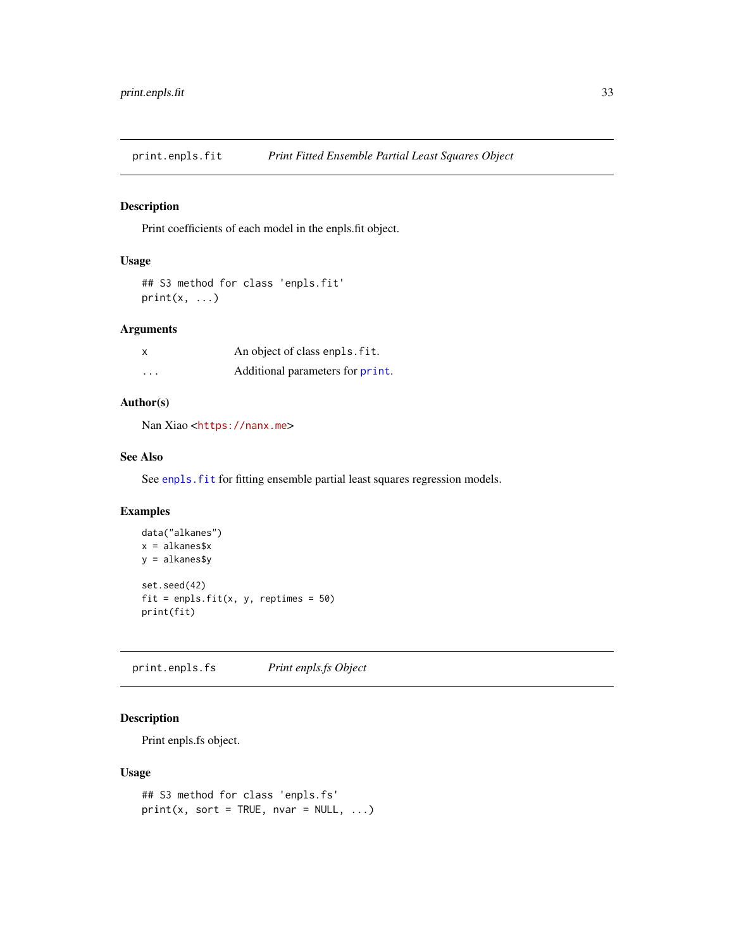<span id="page-32-0"></span>print.enpls.fit *Print Fitted Ensemble Partial Least Squares Object*

# Description

Print coefficients of each model in the enpls.fit object.

#### Usage

```
## S3 method for class 'enpls.fit'
print(x, \ldots)
```
# Arguments

| x       | An object of class enpls. fit.   |
|---------|----------------------------------|
| $\cdot$ | Additional parameters for print. |

# Author(s)

Nan Xiao <<https://nanx.me>>

#### See Also

See enpls. fit for fitting ensemble partial least squares regression models.

# Examples

```
data("alkanes")
x = alkanes$x
y = alkanes$y
set.seed(42)
fit = enpls.fit(x, y, reptimes = 50)
print(fit)
```
print.enpls.fs *Print enpls.fs Object*

# Description

Print enpls.fs object.

#### Usage

```
## S3 method for class 'enpls.fs'
print(x, sort = TRUE, nvar = NULL, ...)
```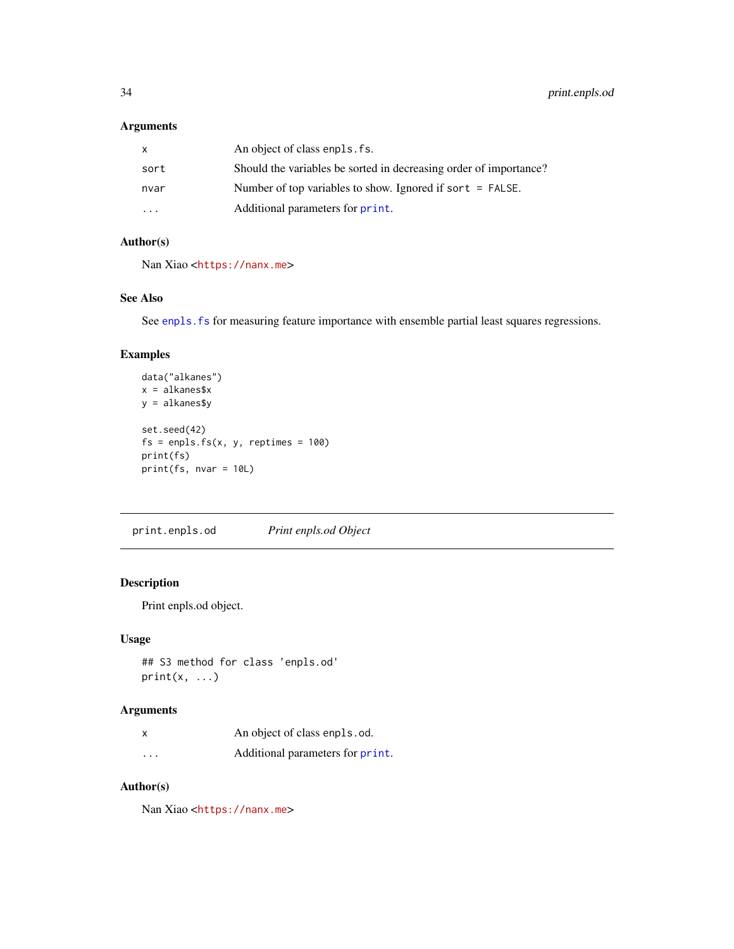#### <span id="page-33-0"></span>Arguments

| x                       | An object of class enpls. fs.                                     |
|-------------------------|-------------------------------------------------------------------|
| sort                    | Should the variables be sorted in decreasing order of importance? |
| nvar                    | Number of top variables to show. Ignored if sort $=$ FALSE.       |
| $\cdot$ $\cdot$ $\cdot$ | Additional parameters for print.                                  |

# Author(s)

Nan Xiao <<https://nanx.me>>

#### See Also

See enpls. fs for measuring feature importance with ensemble partial least squares regressions.

# Examples

```
data("alkanes")
x = alkanes$x
y = alkanes$y
set.seed(42)
fs = enpls.fs(x, y, reptimes = 100)print(fs)
print(fs, nvar = 10L)
```
print.enpls.od *Print enpls.od Object*

# Description

Print enpls.od object.

# Usage

```
## S3 method for class 'enpls.od'
print(x, \ldots)
```
# Arguments

|          | An object of class enpls.od.     |
|----------|----------------------------------|
| $\cdots$ | Additional parameters for print. |

# Author(s)

Nan Xiao <<https://nanx.me>>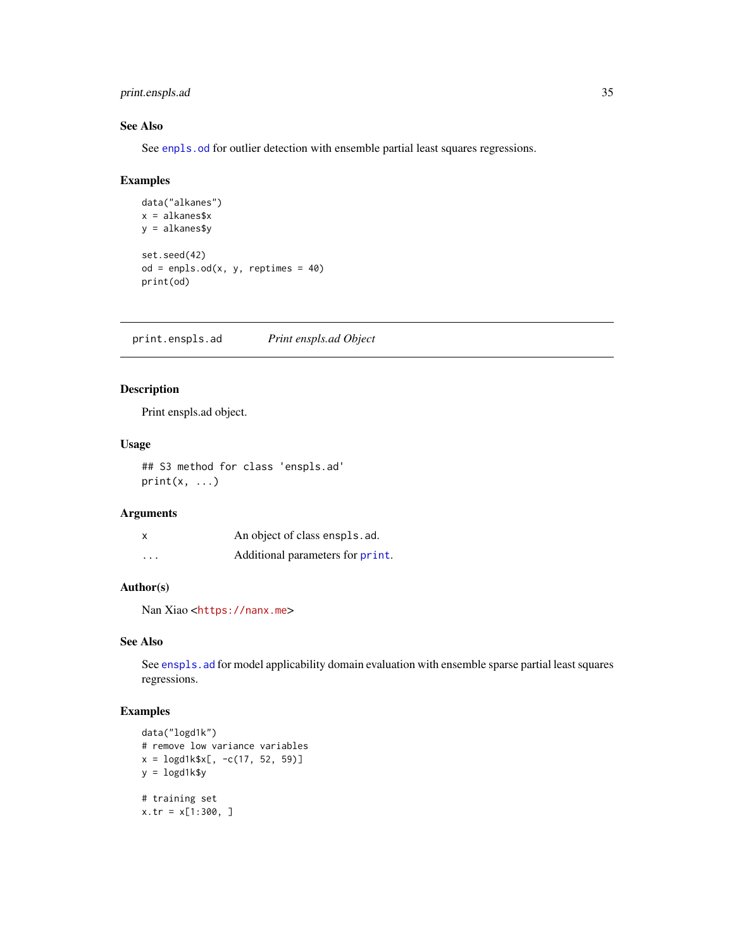# <span id="page-34-0"></span>print.enspls.ad 35

#### See Also

See [enpls.od](#page-10-1) for outlier detection with ensemble partial least squares regressions.

#### Examples

```
data("alkanes")
x = alkanes$x
y = alkanes$y
set.seed(42)
od = enpls.od(x, y, reptimes = 40)print(od)
```
print.enspls.ad *Print enspls.ad Object*

# Description

Print enspls.ad object.

#### Usage

## S3 method for class 'enspls.ad'  $print(x, \ldots)$ 

# Arguments

| x       | An object of class enspls. ad.   |
|---------|----------------------------------|
| $\cdot$ | Additional parameters for print. |

# Author(s)

Nan Xiao <<https://nanx.me>>

# See Also

See enspls. ad for model applicability domain evaluation with ensemble sparse partial least squares regressions.

```
data("logd1k")
# remove low variance variables
x = \text{logd1k$x[, -c(17, 52, 59)]}y = \text{logd1k$y}# training set
x.tr = x[1:300, ]
```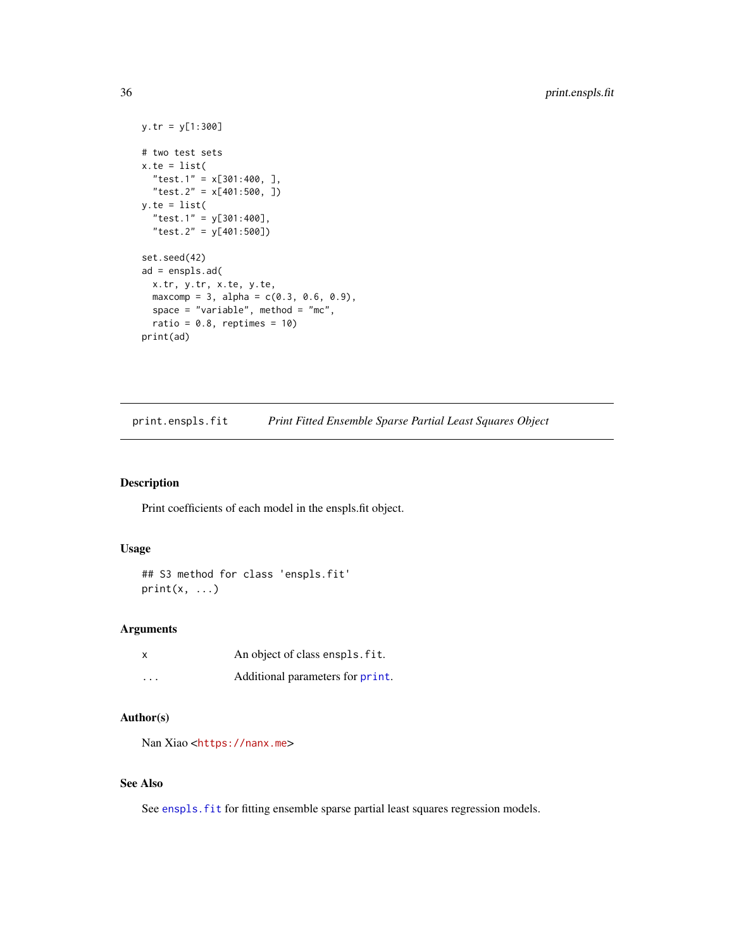```
y.tr = y[1:300]
# two test sets
x.te = list("test.1" = x[301:400, ],
  "test.2" = x[401:500, ])
y.te = list("test.1" = y[301:400],
  "test.2" = y[401:500])
set.seed(42)
ad = enspls.ad(
  x.tr, y.tr, x.te, y.te,
  maxcomp = 3, alpha = c(0.3, 0.6, 0.9),
  space = "variable", method = "mc",
  ratio = 0.8, reptimes = 10)
print(ad)
```
print.enspls.fit *Print Fitted Ensemble Sparse Partial Least Squares Object*

#### Description

Print coefficients of each model in the enspls.fit object.

#### Usage

```
## S3 method for class 'enspls.fit'
print(x, \ldots)
```
# Arguments

|                         | An object of class enspls. fit.  |
|-------------------------|----------------------------------|
| $\cdot$ $\cdot$ $\cdot$ | Additional parameters for print. |

# Author(s)

Nan Xiao <<https://nanx.me>>

# See Also

See enspls. fit for fitting ensemble sparse partial least squares regression models.

<span id="page-35-0"></span>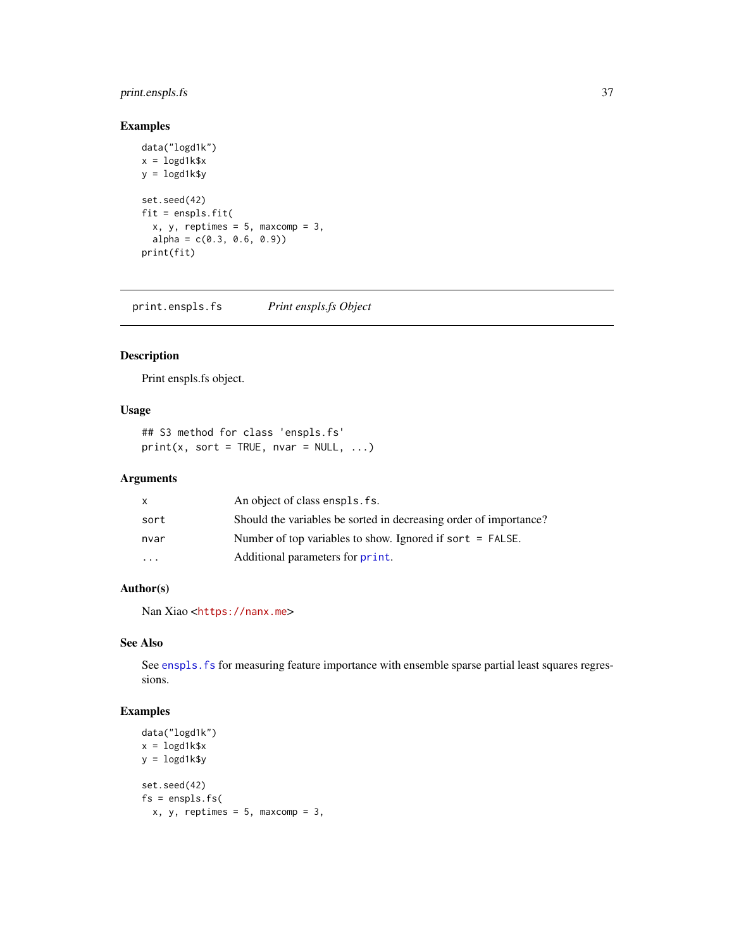# <span id="page-36-0"></span>print.enspls.fs 37

# Examples

```
data("logd1k")
x = \text{logd1k$}xy = \text{logd1k$y}set.seed(42)
fit = enspls.fit(
  x, y, reptimes = 5, maxcomp = 3,
  alpha = c(0.3, 0.6, 0.9)print(fit)
```
print.enspls.fs *Print enspls.fs Object*

# Description

Print enspls.fs object.

#### Usage

```
## S3 method for class 'enspls.fs'
print(x, sort = TRUE, nvar = NULL, ...)
```
# Arguments

| x                       | An object of class enspls. fs.                                    |
|-------------------------|-------------------------------------------------------------------|
| sort                    | Should the variables be sorted in decreasing order of importance? |
| nvar                    | Number of top variables to show. Ignored if sort $=$ FALSE.       |
| $\cdot$ $\cdot$ $\cdot$ | Additional parameters for print.                                  |

# Author(s)

Nan Xiao <<https://nanx.me>>

# See Also

See enspls. fs for measuring feature importance with ensemble sparse partial least squares regressions.

```
data("logd1k")
x = \text{logd1k$}xy = logd1k$y
set.seed(42)
fs = enspls.fs(x, y, reptimes = 5, maxcomp = 3,
```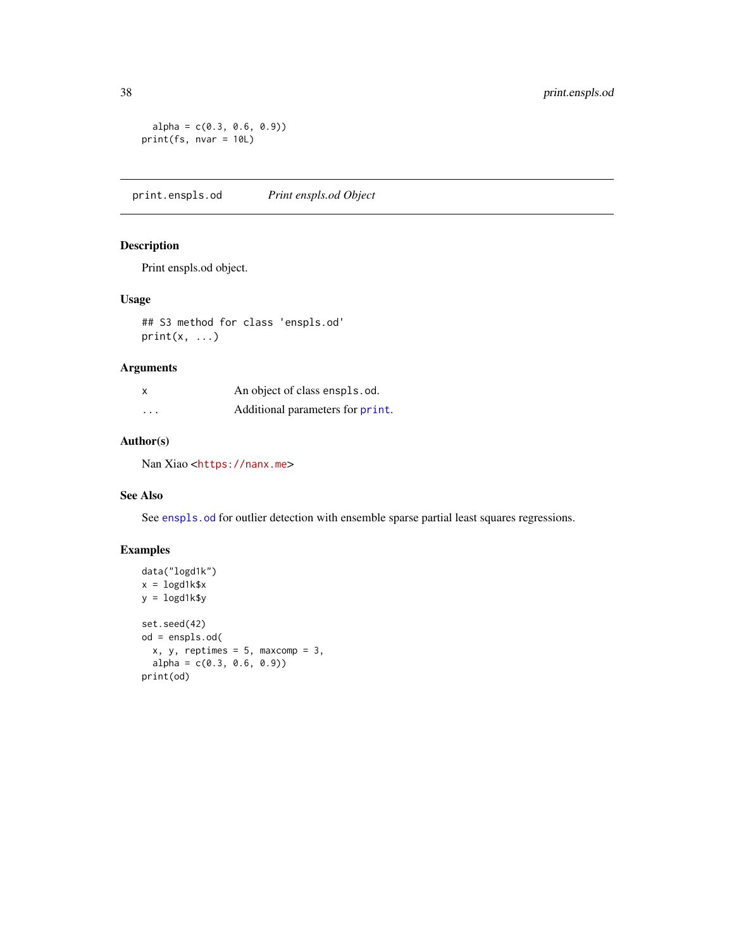```
alpha = c(0.3, 0.6, 0.9)print(fs, nvar = 10L)
```
print.enspls.od *Print enspls.od Object*

# Description

Print enspls.od object.

#### Usage

## S3 method for class 'enspls.od'  $print(x, \ldots)$ 

# Arguments

| $\boldsymbol{\mathsf{x}}$ | An object of class enspls.od.    |
|---------------------------|----------------------------------|
| $\cdots$                  | Additional parameters for print. |

# Author(s)

Nan Xiao <<https://nanx.me>>

# See Also

See [enspls.od](#page-17-1) for outlier detection with ensemble sparse partial least squares regressions.

```
data("logd1k")
x = \text{logd1k$}xy = logd1k$y
set.seed(42)
od = enspls.od(
  x, y, reptimes = 5, maxcomp = 3,
  alpha = c(0.3, 0.6, 0.9)print(od)
```
<span id="page-37-0"></span>